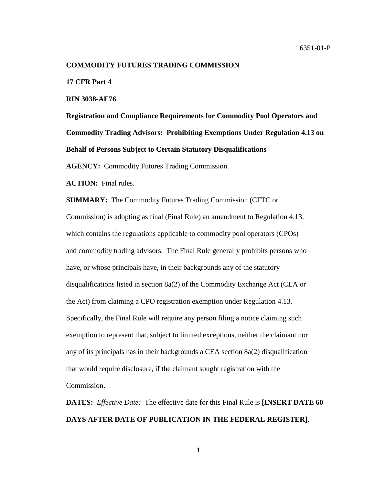#### **COMMODITY FUTURES TRADING COMMISSION**

**17 CFR Part 4**

**RIN 3038-AE76**

**Registration and Compliance Requirements for Commodity Pool Operators and Commodity Trading Advisors: Prohibiting Exemptions Under Regulation 4.13 on Behalf of Persons Subject to Certain Statutory Disqualifications**

**AGENCY:** Commodity Futures Trading Commission.

**ACTION:** Final rules.

**SUMMARY:** The Commodity Futures Trading Commission (CFTC or Commission) is adopting as final (Final Rule) an amendment to Regulation 4.13, which contains the regulations applicable to commodity pool operators (CPOs) and commodity trading advisors. The Final Rule generally prohibits persons who have, or whose principals have, in their backgrounds any of the statutory disqualifications listed in section 8a(2) of the Commodity Exchange Act (CEA or the Act) from claiming a CPO registration exemption under Regulation 4.13. Specifically, the Final Rule will require any person filing a notice claiming such exemption to represent that, subject to limited exceptions, neither the claimant nor any of its principals has in their backgrounds a CEA section 8a(2) disqualification that would require disclosure, if the claimant sought registration with the Commission.

**DATES:** *Effective Date:* The effective date for this Final Rule is **[INSERT DATE 60 DAYS AFTER DATE OF PUBLICATION IN THE FEDERAL REGISTER]**.

1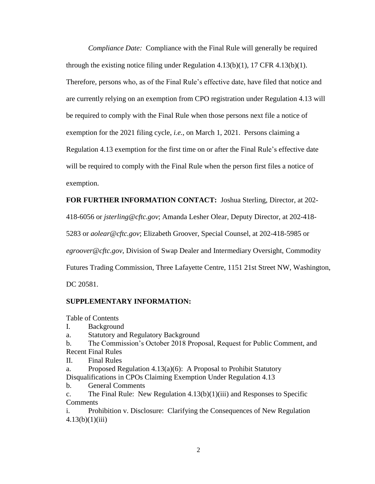*Compliance Date:* Compliance with the Final Rule will generally be required through the existing notice filing under Regulation  $4.13(b)(1)$ , 17 CFR  $4.13(b)(1)$ . Therefore, persons who, as of the Final Rule's effective date, have filed that notice and are currently relying on an exemption from CPO registration under Regulation 4.13 will be required to comply with the Final Rule when those persons next file a notice of exemption for the 2021 filing cycle, *i.e.*, on March 1, 2021. Persons claiming a Regulation 4.13 exemption for the first time on or after the Final Rule's effective date will be required to comply with the Final Rule when the person first files a notice of exemption.

**FOR FURTHER INFORMATION CONTACT:** Joshua Sterling, Director, at 202-

418-6056 or *jsterling@cftc.gov*; Amanda Lesher Olear, Deputy Director, at 202-418-

5283 or *aolear@cftc.gov*; Elizabeth Groover, Special Counsel, at 202-418-5985 or

*egroover@cftc.gov*, Division of Swap Dealer and Intermediary Oversight, Commodity

Futures Trading Commission, Three Lafayette Centre, 1151 21st Street NW, Washington,

DC 20581.

# **SUPPLEMENTARY INFORMATION:**

Table of Contents

- I. Background
- a. Statutory and Regulatory Background
- b. The Commission's October 2018 Proposal, Request for Public Comment, and Recent Final Rules
- II. Final Rules
- a. Proposed Regulation  $4.13(a)(6)$ : A Proposal to Prohibit Statutory Disqualifications in CPOs Claiming Exemption Under Regulation 4.13
- b. General Comments
- c. The Final Rule: New Regulation 4.13(b)(1)(iii) and Responses to Specific **Comments**

i. Prohibition v. Disclosure: Clarifying the Consequences of New Regulation  $4.13(b)(1)(iii)$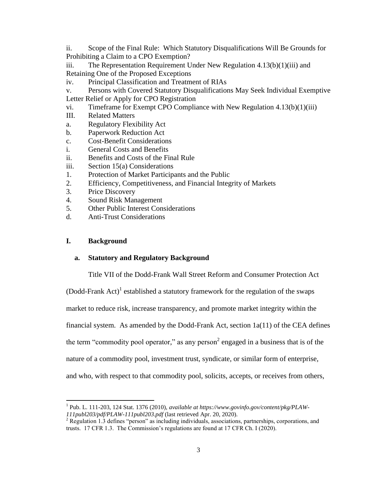ii. Scope of the Final Rule: Which Statutory Disqualifications Will Be Grounds for Prohibiting a Claim to a CPO Exemption?

iii. The Representation Requirement Under New Regulation  $4.13(b)(1)(iii)$  and Retaining One of the Proposed Exceptions

iv. Principal Classification and Treatment of RIAs

v. Persons with Covered Statutory Disqualifications May Seek Individual Exemptive

Letter Relief or Apply for CPO Registration

vi. Timeframe for Exempt CPO Compliance with New Regulation 4.13(b)(1)(iii)

- III. Related Matters
- a. Regulatory Flexibility Act
- b. Paperwork Reduction Act
- c. Cost-Benefit Considerations
- i. General Costs and Benefits
- ii. Benefits and Costs of the Final Rule
- iii. Section 15(a) Considerations
- 1. Protection of Market Participants and the Public
- 2. Efficiency, Competitiveness, and Financial Integrity of Markets
- 3. Price Discovery
- 4. Sound Risk Management
- 5. Other Public Interest Considerations
- d. Anti-Trust Considerations

# **I. Background**

# **a. Statutory and Regulatory Background**

Title VII of the Dodd-Frank Wall Street Reform and Consumer Protection Act

(Dodd-Frank Act)<sup>1</sup> established a statutory framework for the regulation of the swaps market to reduce risk, increase transparency, and promote market integrity within the financial system. As amended by the Dodd-Frank Act, section 1a(11) of the CEA defines the term "commodity pool operator," as any person<sup>2</sup> engaged in a business that is of the nature of a commodity pool, investment trust, syndicate, or similar form of enterprise, and who, with respect to that commodity pool, solicits, accepts, or receives from others,

 $\overline{\phantom{a}}$ 1 Pub. L. 111-203, 124 Stat. 1376 (2010), *available at https://www.govinfo.gov/content/pkg/PLAW-111publ203/pdf/PLAW-111publ203.pdf* (last retrieved Apr. 20, 2020).

 $2$  Regulation 1.3 defines "person" as including individuals, associations, partnerships, corporations, and trusts. 17 CFR 1.3. The Commission's regulations are found at 17 CFR Ch. I (2020).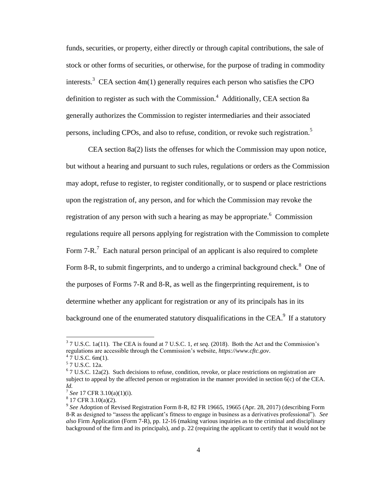funds, securities, or property, either directly or through capital contributions, the sale of stock or other forms of securities, or otherwise, for the purpose of trading in commodity interests.<sup>3</sup> CEA section  $4m(1)$  generally requires each person who satisfies the CPO definition to register as such with the Commission.<sup>4</sup> Additionally, CEA section 8a generally authorizes the Commission to register intermediaries and their associated persons, including CPOs, and also to refuse, condition, or revoke such registration.<sup>5</sup>

CEA section 8a(2) lists the offenses for which the Commission may upon notice, but without a hearing and pursuant to such rules, regulations or orders as the Commission may adopt, refuse to register, to register conditionally, or to suspend or place restrictions upon the registration of, any person, and for which the Commission may revoke the registration of any person with such a hearing as may be appropriate.<sup>6</sup> Commission regulations require all persons applying for registration with the Commission to complete Form  $7-R$ .<sup>7</sup> Each natural person principal of an applicant is also required to complete Form 8-R, to submit fingerprints, and to undergo a criminal background check. $8$  One of the purposes of Forms 7-R and 8-R, as well as the fingerprinting requirement, is to determine whether any applicant for registration or any of its principals has in its background one of the enumerated statutory disqualifications in the CEA. $^9$  If a statutory

<sup>&</sup>lt;sup>3</sup> 7 U.S.C. 1a(11). The CEA is found at 7 U.S.C. 1, *et seq.* (2018). Both the Act and the Commission's regulations are accessible through the Commission's website, *https://www.cftc.gov*.

 $47$  U.S.C. 6m(1).

<sup>5</sup> 7 U.S.C. 12a.

 $6$  7 U.S.C. 12a(2). Such decisions to refuse, condition, revoke, or place restrictions on registration are subject to appeal by the affected person or registration in the manner provided in section 6(c) of the CEA. *Id.*

<sup>7</sup> *See* 17 CFR 3.10(a)(1)(i).

 $8\,$  17 CFR 3.10(a)(2).

<sup>9</sup> *See* Adoption of Revised Registration Form 8-R, 82 FR 19665, 19665 (Apr. 28, 2017) (describing Form 8-R as designed to "assess the applicant's fitness to engage in business as a derivatives professional"). *See also* Firm Application (Form 7-R), pp. 12-16 (making various inquiries as to the criminal and disciplinary background of the firm and its principals), and p. 22 (requiring the applicant to certify that it would not be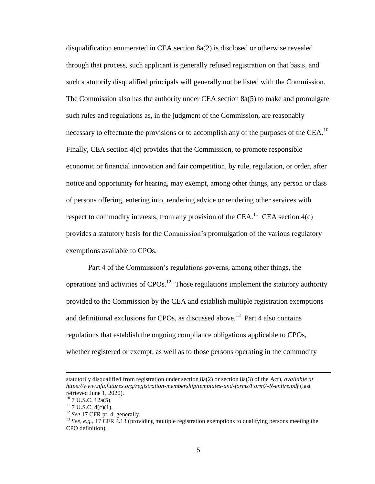disqualification enumerated in CEA section 8a(2) is disclosed or otherwise revealed through that process, such applicant is generally refused registration on that basis, and such statutorily disqualified principals will generally not be listed with the Commission. The Commission also has the authority under CEA section 8a(5) to make and promulgate such rules and regulations as, in the judgment of the Commission, are reasonably necessary to effectuate the provisions or to accomplish any of the purposes of the CEA.<sup>10</sup> Finally, CEA section 4(c) provides that the Commission, to promote responsible economic or financial innovation and fair competition, by rule, regulation, or order, after notice and opportunity for hearing, may exempt, among other things, any person or class of persons offering, entering into, rendering advice or rendering other services with respect to commodity interests, from any provision of the CEA.<sup>11</sup> CEA section  $4(c)$ provides a statutory basis for the Commission's promulgation of the various regulatory exemptions available to CPOs.

Part 4 of the Commission's regulations governs, among other things, the operations and activities of  $CPOs<sup>12</sup>$ . Those regulations implement the statutory authority provided to the Commission by the CEA and establish multiple registration exemptions and definitional exclusions for CPOs, as discussed above.<sup>13</sup> Part 4 also contains regulations that establish the ongoing compliance obligations applicable to CPOs, whether registered or exempt, as well as to those persons operating in the commodity

l

statutorily disqualified from registration under section 8a(2) or section 8a(3) of the Act), *available at https://www.nfa.futures.org/registration-membership/templates-and-forms/Form7-R-entire.pdf* (last retrieved June 1, 2020).

<sup>&</sup>lt;sup>10</sup> 7 U.S.C. 12a(5).

 $11$  7 U.S.C. 4(c)(1).

<sup>&</sup>lt;sup>12</sup> *See* 17 CFR pt. 4, generally.

<sup>&</sup>lt;sup>13</sup> *See, e.g.*, 17 CFR 4.13 (providing multiple registration exemptions to qualifying persons meeting the CPO definition).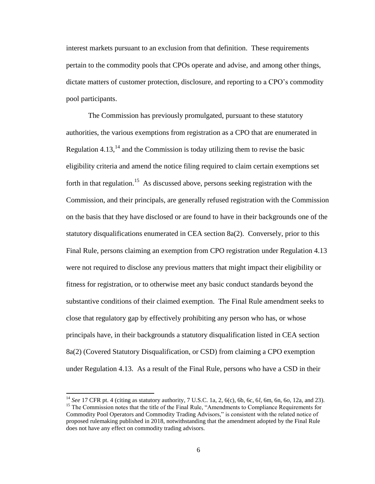interest markets pursuant to an exclusion from that definition. These requirements pertain to the commodity pools that CPOs operate and advise, and among other things, dictate matters of customer protection, disclosure, and reporting to a CPO's commodity pool participants.

The Commission has previously promulgated, pursuant to these statutory authorities, the various exemptions from registration as a CPO that are enumerated in Regulation 4.13, $<sup>14</sup>$  and the Commission is today utilizing them to revise the basic</sup> eligibility criteria and amend the notice filing required to claim certain exemptions set forth in that regulation.<sup>15</sup> As discussed above, persons seeking registration with the Commission, and their principals, are generally refused registration with the Commission on the basis that they have disclosed or are found to have in their backgrounds one of the statutory disqualifications enumerated in CEA section 8a(2). Conversely, prior to this Final Rule, persons claiming an exemption from CPO registration under Regulation 4.13 were not required to disclose any previous matters that might impact their eligibility or fitness for registration, or to otherwise meet any basic conduct standards beyond the substantive conditions of their claimed exemption. The Final Rule amendment seeks to close that regulatory gap by effectively prohibiting any person who has, or whose principals have, in their backgrounds a statutory disqualification listed in CEA section 8a(2) (Covered Statutory Disqualification, or CSD) from claiming a CPO exemption under Regulation 4.13. As a result of the Final Rule, persons who have a CSD in their

 $\overline{a}$ 

<sup>14</sup> *See* 17 CFR pt. 4 (citing as statutory authority, 7 U.S.C. 1a, 2, 6(c), 6b, 6c, 6*l*, 6m, 6n, 6*o*, 12a, and 23). <sup>15</sup> The Commission notes that the title of the Final Rule, "Amendments to Compliance Requirements for Commodity Pool Operators and Commodity Trading Advisors," is consistent with the related notice of proposed rulemaking published in 2018, notwithstanding that the amendment adopted by the Final Rule does not have any effect on commodity trading advisors.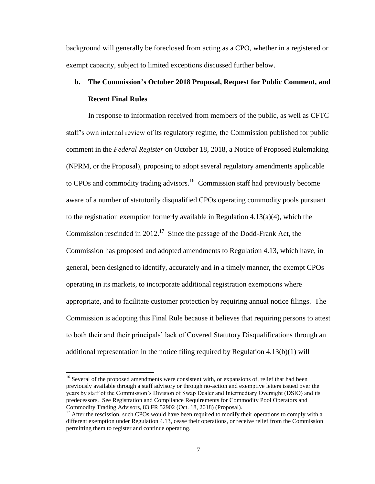background will generally be foreclosed from acting as a CPO, whether in a registered or exempt capacity, subject to limited exceptions discussed further below.

# **b. The Commission's October 2018 Proposal, Request for Public Comment, and Recent Final Rules**

In response to information received from members of the public, as well as CFTC staff's own internal review of its regulatory regime, the Commission published for public comment in the *Federal Register* on October 18, 2018, a Notice of Proposed Rulemaking (NPRM, or the Proposal), proposing to adopt several regulatory amendments applicable to CPOs and commodity trading advisors.<sup>16</sup> Commission staff had previously become aware of a number of statutorily disqualified CPOs operating commodity pools pursuant to the registration exemption formerly available in Regulation 4.13(a)(4), which the Commission rescinded in 2012.<sup>17</sup> Since the passage of the Dodd-Frank Act, the Commission has proposed and adopted amendments to Regulation 4.13, which have, in general, been designed to identify, accurately and in a timely manner, the exempt CPOs operating in its markets, to incorporate additional registration exemptions where appropriate, and to facilitate customer protection by requiring annual notice filings. The Commission is adopting this Final Rule because it believes that requiring persons to attest to both their and their principals' lack of Covered Statutory Disqualifications through an additional representation in the notice filing required by Regulation 4.13(b)(1) will

l

<sup>&</sup>lt;sup>16</sup> Several of the proposed amendments were consistent with, or expansions of, relief that had been previously available through a staff advisory or through no-action and exemptive letters issued over the years by staff of the Commission's Division of Swap Dealer and Intermediary Oversight (DSIO) and its predecessors. See Registration and Compliance Requirements for Commodity Pool Operators and Commodity Trading Advisors, 83 FR 52902 (Oct. 18, 2018) (Proposal).

<sup>&</sup>lt;sup>17</sup> After the rescission, such CPOs would have been required to modify their operations to comply with a different exemption under Regulation 4.13, cease their operations, or receive relief from the Commission permitting them to register and continue operating.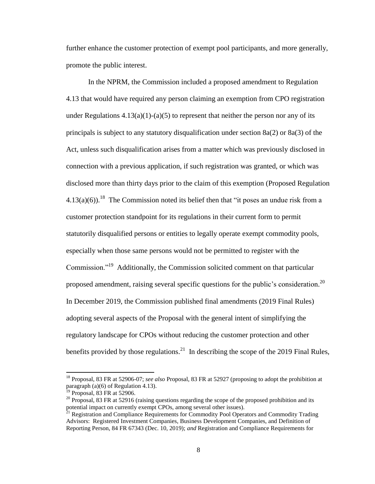further enhance the customer protection of exempt pool participants, and more generally, promote the public interest.

In the NPRM, the Commission included a proposed amendment to Regulation 4.13 that would have required any person claiming an exemption from CPO registration under Regulations  $4.13(a)(1)-(a)(5)$  to represent that neither the person nor any of its principals is subject to any statutory disqualification under section 8a(2) or 8a(3) of the Act, unless such disqualification arises from a matter which was previously disclosed in connection with a previous application, if such registration was granted, or which was disclosed more than thirty days prior to the claim of this exemption (Proposed Regulation  $4.13(a)(6)$ .<sup>18</sup> The Commission noted its belief then that "it poses an undue risk from a customer protection standpoint for its regulations in their current form to permit statutorily disqualified persons or entities to legally operate exempt commodity pools, especially when those same persons would not be permitted to register with the Commission."<sup>19</sup> Additionally, the Commission solicited comment on that particular proposed amendment, raising several specific questions for the public's consideration.<sup>20</sup> In December 2019, the Commission published final amendments (2019 Final Rules) adopting several aspects of the Proposal with the general intent of simplifying the regulatory landscape for CPOs without reducing the customer protection and other benefits provided by those regulations.<sup>21</sup> In describing the scope of the 2019 Final Rules,

l

<sup>18</sup> Proposal, 83 FR at 52906-07; *see also* Proposal, 83 FR at 52927 (proposing to adopt the prohibition at paragraph (a)(6) of Regulation 4.13).

 $19$  Proposal, 83 FR at 52906.

<sup>&</sup>lt;sup>20</sup> Proposal, 83 FR at 52916 (raising questions regarding the scope of the proposed prohibition and its potential impact on currently exempt CPOs, among several other issues).<br><sup>21</sup> Begistration and Currently exempt CPOs, among several other issues).

<sup>21</sup> Registration and Compliance Requirements for Commodity Pool Operators and Commodity Trading Advisors: Registered Investment Companies, Business Development Companies, and Definition of Reporting Person, 84 FR 67343 (Dec. 10, 2019); *and* Registration and Compliance Requirements for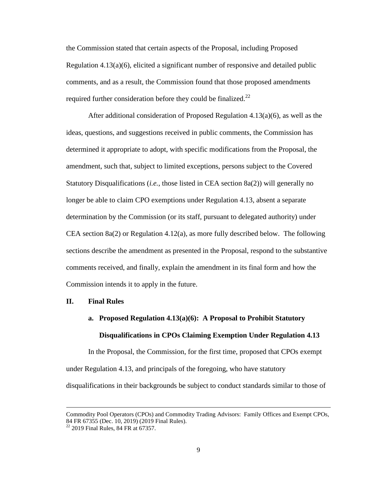the Commission stated that certain aspects of the Proposal, including Proposed Regulation 4.13(a)(6), elicited a significant number of responsive and detailed public comments, and as a result, the Commission found that those proposed amendments required further consideration before they could be finalized.<sup>22</sup>

After additional consideration of Proposed Regulation 4.13(a)(6), as well as the ideas, questions, and suggestions received in public comments, the Commission has determined it appropriate to adopt, with specific modifications from the Proposal, the amendment, such that, subject to limited exceptions, persons subject to the Covered Statutory Disqualifications (*i.e.*, those listed in CEA section 8a(2)) will generally no longer be able to claim CPO exemptions under Regulation 4.13, absent a separate determination by the Commission (or its staff, pursuant to delegated authority) under CEA section  $8a(2)$  or Regulation 4.12(a), as more fully described below. The following sections describe the amendment as presented in the Proposal, respond to the substantive comments received, and finally, explain the amendment in its final form and how the Commission intends it to apply in the future.

## **II. Final Rules**

# **a. Proposed Regulation 4.13(a)(6): A Proposal to Prohibit Statutory Disqualifications in CPOs Claiming Exemption Under Regulation 4.13**

In the Proposal, the Commission, for the first time, proposed that CPOs exempt under Regulation 4.13, and principals of the foregoing, who have statutory disqualifications in their backgrounds be subject to conduct standards similar to those of

Commodity Pool Operators (CPOs) and Commodity Trading Advisors: Family Offices and Exempt CPOs, 84 FR 67355 (Dec. 10, 2019) (2019 Final Rules).

 $22$  2019 Final Rules, 84 FR at 67357.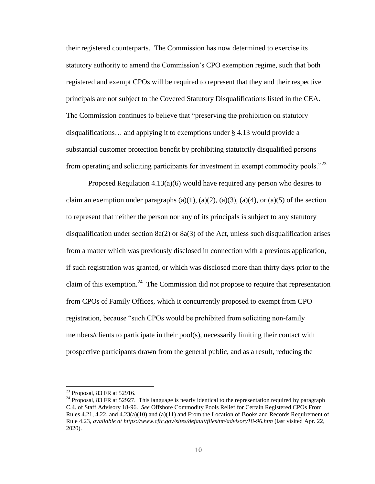their registered counterparts. The Commission has now determined to exercise its statutory authority to amend the Commission's CPO exemption regime, such that both registered and exempt CPOs will be required to represent that they and their respective principals are not subject to the Covered Statutory Disqualifications listed in the CEA. The Commission continues to believe that "preserving the prohibition on statutory disqualifications… and applying it to exemptions under § 4.13 would provide a substantial customer protection benefit by prohibiting statutorily disqualified persons from operating and soliciting participants for investment in exempt commodity pools."<sup>23</sup>

Proposed Regulation 4.13(a)(6) would have required any person who desires to claim an exemption under paragraphs  $(a)(1)$ ,  $(a)(2)$ ,  $(a)(3)$ ,  $(a)(4)$ , or  $(a)(5)$  of the section to represent that neither the person nor any of its principals is subject to any statutory disqualification under section  $8a(2)$  or  $8a(3)$  of the Act, unless such disqualification arises from a matter which was previously disclosed in connection with a previous application, if such registration was granted, or which was disclosed more than thirty days prior to the claim of this exemption.<sup>24</sup> The Commission did not propose to require that representation from CPOs of Family Offices, which it concurrently proposed to exempt from CPO registration, because "such CPOs would be prohibited from soliciting non-family members/clients to participate in their pool(s), necessarily limiting their contact with prospective participants drawn from the general public, and as a result, reducing the

 $23$  Proposal, 83 FR at 52916.

<sup>&</sup>lt;sup>24</sup> Proposal, 83 FR at 52927. This language is nearly identical to the representation required by paragraph C.4. of Staff Advisory 18-96. *See* Offshore Commodity Pools Relief for Certain Registered CPOs From Rules 4.21, 4.22, and 4.23(a)(10) and (a)(11) and From the Location of Books and Records Requirement of Rule 4.23, *available at https://www.cftc.gov/sites/default/files/tm/advisory18-96.htm* (last visited Apr. 22, 2020).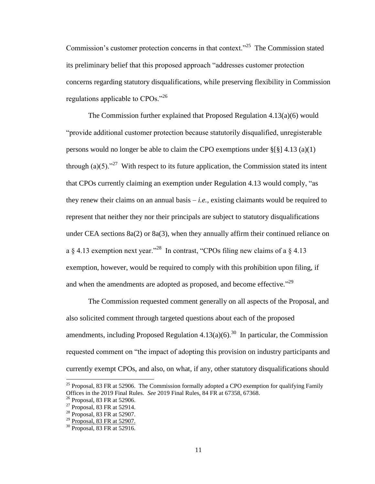Commission's customer protection concerns in that context."<sup>25</sup> The Commission stated its preliminary belief that this proposed approach "addresses customer protection concerns regarding statutory disqualifications, while preserving flexibility in Commission regulations applicable to CPOs."<sup>26</sup>

The Commission further explained that Proposed Regulation 4.13(a)(6) would "provide additional customer protection because statutorily disqualified, unregisterable persons would no longer be able to claim the CPO exemptions under §[§] 4.13 (a)(1) through (a)(5)."<sup>27</sup> With respect to its future application, the Commission stated its intent that CPOs currently claiming an exemption under Regulation 4.13 would comply, "as they renew their claims on an annual basis – *i.e.*, existing claimants would be required to represent that neither they nor their principals are subject to statutory disqualifications under CEA sections 8a(2) or 8a(3), when they annually affirm their continued reliance on a  $\S$  4.13 exemption next year."<sup>28</sup> In contrast, "CPOs filing new claims of a  $\S$  4.13 exemption, however, would be required to comply with this prohibition upon filing, if and when the amendments are adopted as proposed, and become effective."<sup>29</sup>

The Commission requested comment generally on all aspects of the Proposal, and also solicited comment through targeted questions about each of the proposed amendments, including Proposed Regulation  $4.13(a)(6)$ .<sup>30</sup> In particular, the Commission requested comment on "the impact of adopting this provision on industry participants and currently exempt CPOs, and also, on what, if any, other statutory disqualifications should

<sup>&</sup>lt;sup>25</sup> Proposal, 83 FR at 52906. The Commission formally adopted a CPO exemption for qualifying Family Offices in the 2019 Final Rules. *See* 2019 Final Rules, 84 FR at 67358, 67368.

<sup>26</sup> Proposal, 83 FR at 52906.

<sup>&</sup>lt;sup>27</sup> Proposal, 83 FR at 52914.

<sup>28</sup> Proposal, 83 FR at 52907.

<sup>&</sup>lt;sup>29</sup> Proposal, 83 FR at 52907.

<sup>30</sup> Proposal, 83 FR at 52916.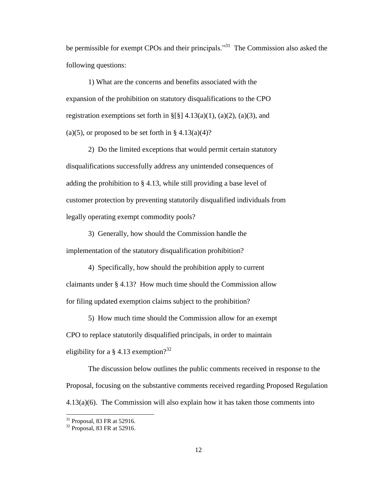be permissible for exempt CPOs and their principals."<sup>31</sup> The Commission also asked the following questions:

1) What are the concerns and benefits associated with the expansion of the prohibition on statutory disqualifications to the CPO registration exemptions set forth in  $\S[\S]$  4.13(a)(1), (a)(2), (a)(3), and (a)(5), or proposed to be set forth in  $\S 4.13(a)(4)$ ?

2) Do the limited exceptions that would permit certain statutory disqualifications successfully address any unintended consequences of adding the prohibition to § 4.13, while still providing a base level of customer protection by preventing statutorily disqualified individuals from legally operating exempt commodity pools?

3) Generally, how should the Commission handle the implementation of the statutory disqualification prohibition?

4) Specifically, how should the prohibition apply to current claimants under § 4.13? How much time should the Commission allow for filing updated exemption claims subject to the prohibition?

5) How much time should the Commission allow for an exempt CPO to replace statutorily disqualified principals, in order to maintain eligibility for a § 4.13 exemption?<sup>32</sup>

The discussion below outlines the public comments received in response to the Proposal, focusing on the substantive comments received regarding Proposed Regulation 4.13(a)(6). The Commission will also explain how it has taken those comments into

l

 $31$  Proposal, 83 FR at 52916.

<sup>32</sup> Proposal, 83 FR at 52916.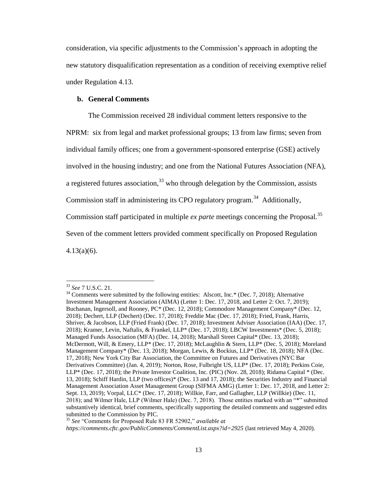consideration, via specific adjustments to the Commission's approach in adopting the new statutory disqualification representation as a condition of receiving exemptive relief under Regulation 4.13.

## **b. General Comments**

The Commission received 28 individual comment letters responsive to the NPRM: six from legal and market professional groups; 13 from law firms; seven from individual family offices; one from a government-sponsored enterprise (GSE) actively involved in the housing industry; and one from the National Futures Association (NFA), a registered futures association,  $33\overline{3}$  who through delegation by the Commission, assists Commission staff in administering its CPO regulatory program.<sup>34</sup> Additionally, Commission staff participated in multiple *ex parte* meetings concerning the Proposal.<sup>35</sup> Seven of the comment letters provided comment specifically on Proposed Regulation  $4.13(a)(6)$ .

<sup>33</sup> *See* 7 U.S.C. 21.

 $34$  Comments were submitted by the following entities: Alscott, Inc.\* (Dec. 7, 2018); Alternative Investment Management Association (AIMA) (Letter 1: Dec. 17, 2018, and Letter 2: Oct. 7, 2019); Buchanan, Ingersoll, and Rooney, PC\* (Dec. 12, 2018); Commodore Management Company\* (Dec. 12, 2018); Dechert, LLP (Dechert) (Dec. 17, 2018); Freddie Mac (Dec. 17, 2018); Fried, Frank, Harris, Shriver, & Jacobson, LLP (Fried Frank) (Dec. 17, 2018); Investment Adviser Association (IAA) (Dec. 17, 2018); Kramer, Levin, Naftalis, & Frankel, LLP\* (Dec. 17, 2018); LBCW Investments\* (Dec. 5, 2018); Managed Funds Association (MFA) (Dec. 14, 2018); Marshall Street Capital\* (Dec. 13, 2018); McDermott, Will, & Emery, LLP\* (Dec. 17, 2018); McLaughlin & Stern, LLP\* (Dec. 5, 2018); Moreland Management Company\* (Dec. 13, 2018); Morgan, Lewis, & Bockius, LLP\* (Dec. 18, 2018); NFA (Dec. 17, 2018); New York City Bar Association, the Committee on Futures and Derivatives (NYC Bar Derivatives Committee) (Jan. 4, 2019); Norton, Rose, Fulbright US, LLP\* (Dec. 17, 2018); Perkins Coie, LLP\* (Dec. 17, 2018); the Private Investor Coalition, Inc. (PIC) (Nov. 28, 2018); Ridama Capital \* (Dec. 13, 2018); Schiff Hardin, LLP (two offices)\* (Dec. 13 and 17, 2018); the Securities Industry and Financial Management Association Asset Management Group (SIFMA AMG) (Letter 1: Dec. 17, 2018, and Letter 2: Sept. 13, 2019); Vorpal, LLC\* (Dec. 17, 2018); Willkie, Farr, and Gallagher, LLP (Willkie) (Dec. 11, 2018); and Wilmer Hale, LLP (Wilmer Hale) (Dec. 7, 2018). Those entities marked with an "\*" submitted substantively identical, brief comments, specifically supporting the detailed comments and suggested edits submitted to the Commission by PIC.

<sup>35</sup> *See* "Comments for Proposed Rule 83 FR 52902," *available at* 

*https://comments.cftc.gov/PublicComments/CommentList.aspx?id=2925* (last retrieved May 4, 2020).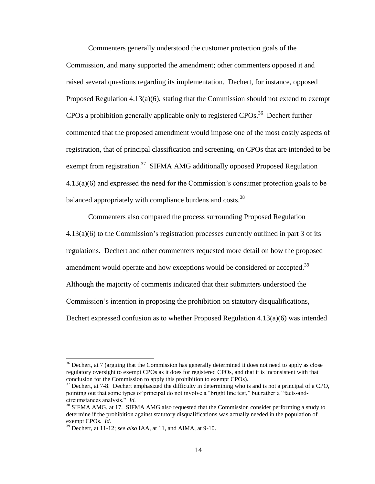Commenters generally understood the customer protection goals of the Commission, and many supported the amendment; other commenters opposed it and raised several questions regarding its implementation. Dechert, for instance, opposed Proposed Regulation  $4.13(a)(6)$ , stating that the Commission should not extend to exempt CPOs a prohibition generally applicable only to registered CPOs.<sup>36</sup> Dechert further commented that the proposed amendment would impose one of the most costly aspects of registration, that of principal classification and screening, on CPOs that are intended to be exempt from registration.<sup>37</sup> SIFMA AMG additionally opposed Proposed Regulation 4.13(a)(6) and expressed the need for the Commission's consumer protection goals to be balanced appropriately with compliance burdens and costs.<sup>38</sup>

Commenters also compared the process surrounding Proposed Regulation 4.13(a)(6) to the Commission's registration processes currently outlined in part 3 of its regulations. Dechert and other commenters requested more detail on how the proposed amendment would operate and how exceptions would be considered or accepted.<sup>39</sup> Although the majority of comments indicated that their submitters understood the Commission's intention in proposing the prohibition on statutory disqualifications, Dechert expressed confusion as to whether Proposed Regulation  $4.13(a)(6)$  was intended

<sup>&</sup>lt;sup>36</sup> Dechert, at 7 (arguing that the Commission has generally determined it does not need to apply as close regulatory oversight to exempt CPOs as it does for registered CPOs, and that it is inconsistent with that conclusion for the Commission to apply this prohibition to exempt CPOs).

Dechert, at 7-8. Dechert emphasized the difficulty in determining who is and is not a principal of a CPO, pointing out that some types of principal do not involve a "bright line test," but rather a "facts-andcircumstances analysis." *Id.*

 $38$  SIFMA AMG, at 17. SIFMA AMG also requested that the Commission consider performing a study to determine if the prohibition against statutory disqualifications was actually needed in the population of exempt CPOs. *Id.*

<sup>39</sup> Dechert, at 11-12; *see also* IAA, at 11, and AIMA, at 9-10.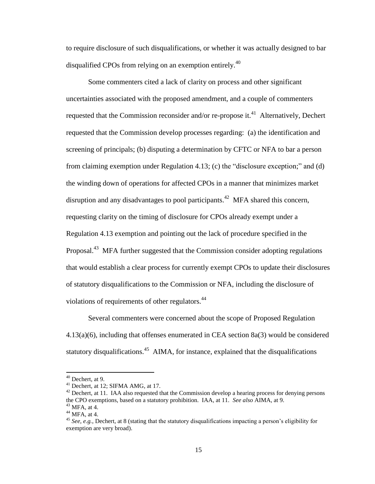to require disclosure of such disqualifications, or whether it was actually designed to bar disqualified CPOs from relying on an exemption entirely.<sup>40</sup>

Some commenters cited a lack of clarity on process and other significant uncertainties associated with the proposed amendment, and a couple of commenters requested that the Commission reconsider and/or re-propose it.<sup>41</sup> Alternatively, Dechert requested that the Commission develop processes regarding: (a) the identification and screening of principals; (b) disputing a determination by CFTC or NFA to bar a person from claiming exemption under Regulation 4.13; (c) the "disclosure exception;" and (d) the winding down of operations for affected CPOs in a manner that minimizes market disruption and any disadvantages to pool participants.<sup>42</sup> MFA shared this concern, requesting clarity on the timing of disclosure for CPOs already exempt under a Regulation 4.13 exemption and pointing out the lack of procedure specified in the Proposal.<sup>43</sup> MFA further suggested that the Commission consider adopting regulations that would establish a clear process for currently exempt CPOs to update their disclosures of statutory disqualifications to the Commission or NFA, including the disclosure of violations of requirements of other regulators.<sup>44</sup>

Several commenters were concerned about the scope of Proposed Regulation 4.13(a)(6), including that offenses enumerated in CEA section 8a(3) would be considered statutory disqualifications.<sup>45</sup> AIMA, for instance, explained that the disqualifications

l

 $40$  Dechert, at 9.

<sup>&</sup>lt;sup>41</sup> Dechert, at 12; SIFMA AMG, at 17.

 $42$  Dechert, at 11. IAA also requested that the Commission develop a hearing process for denying persons the CPO exemptions, based on a statutory prohibition. IAA, at 11. *See also* AIMA, at 9.

<sup>43</sup> MFA, at 4.  $44$  MFA, at 4.

<sup>45</sup> *See, e.g.*, Dechert, at 8 (stating that the statutory disqualifications impacting a person's eligibility for exemption are very broad).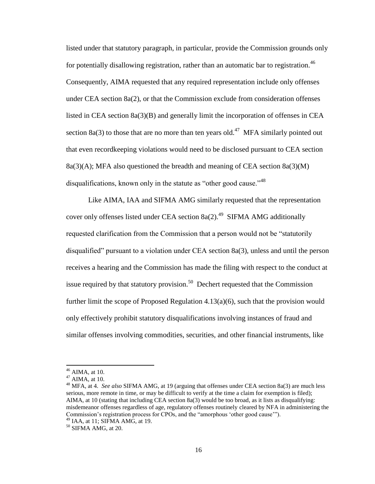listed under that statutory paragraph, in particular, provide the Commission grounds only for potentially disallowing registration, rather than an automatic bar to registration.<sup>46</sup> Consequently, AIMA requested that any required representation include only offenses under CEA section  $8a(2)$ , or that the Commission exclude from consideration offenses listed in CEA section 8a(3)(B) and generally limit the incorporation of offenses in CEA section 8a(3) to those that are no more than ten years old.<sup>47</sup> MFA similarly pointed out that even recordkeeping violations would need to be disclosed pursuant to CEA section  $8a(3)(A)$ ; MFA also questioned the breadth and meaning of CEA section  $8a(3)(M)$ disqualifications, known only in the statute as "other good cause."<sup>48</sup>

Like AIMA, IAA and SIFMA AMG similarly requested that the representation cover only offenses listed under CEA section  $8a(2)$ .<sup>49</sup> SIFMA AMG additionally requested clarification from the Commission that a person would not be "statutorily disqualified" pursuant to a violation under CEA section 8a(3), unless and until the person receives a hearing and the Commission has made the filing with respect to the conduct at issue required by that statutory provision.<sup>50</sup> Dechert requested that the Commission further limit the scope of Proposed Regulation 4.13(a)(6), such that the provision would only effectively prohibit statutory disqualifications involving instances of fraud and similar offenses involving commodities, securities, and other financial instruments, like

 $46$  AIMA, at 10.

<sup>47</sup> AIMA, at 10.

<sup>48</sup> MFA, at 4. *See also* SIFMA AMG, at 19 (arguing that offenses under CEA section 8a(3) are much less serious, more remote in time, or may be difficult to verify at the time a claim for exemption is filed); AIMA, at 10 (stating that including CEA section 8a(3) would be too broad, as it lists as disqualifying: misdemeanor offenses regardless of age, regulatory offenses routinely cleared by NFA in administering the Commission's registration process for CPOs, and the "amorphous 'other good cause'").  $49$  IAA, at 11; SIFMA AMG, at 19.

 $50$  SIFMA AMG, at 20.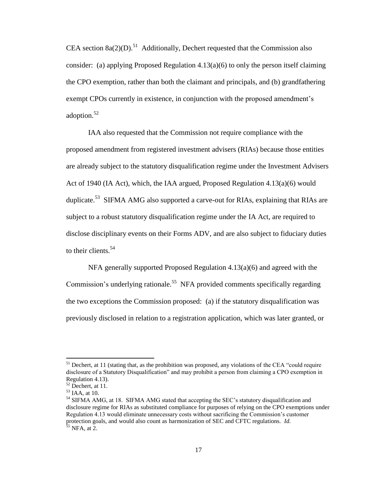CEA section  $8a(2)(D)$ .<sup>51</sup> Additionally, Dechert requested that the Commission also consider: (a) applying Proposed Regulation  $4.13(a)(6)$  to only the person itself claiming the CPO exemption, rather than both the claimant and principals, and (b) grandfathering exempt CPOs currently in existence, in conjunction with the proposed amendment's adoption. 52

IAA also requested that the Commission not require compliance with the proposed amendment from registered investment advisers (RIAs) because those entities are already subject to the statutory disqualification regime under the Investment Advisers Act of 1940 (IA Act), which, the IAA argued, Proposed Regulation  $4.13(a)(6)$  would duplicate.<sup>53</sup> SIFMA AMG also supported a carve-out for RIAs, explaining that RIAs are subject to a robust statutory disqualification regime under the IA Act, are required to disclose disciplinary events on their Forms ADV, and are also subject to fiduciary duties to their clients.<sup>54</sup>

NFA generally supported Proposed Regulation 4.13(a)(6) and agreed with the Commission's underlying rationale.<sup>55</sup> NFA provided comments specifically regarding the two exceptions the Commission proposed: (a) if the statutory disqualification was previously disclosed in relation to a registration application, which was later granted, or

<sup>&</sup>lt;sup>51</sup> Dechert, at 11 (stating that, as the prohibition was proposed, any violations of the CEA "could require disclosure of a Statutory Disqualification" and may prohibit a person from claiming a CPO exemption in Regulation 4.13).

 $52$  Dechert, at 11.

 $53$  IAA, at 10.

<sup>&</sup>lt;sup>54</sup> SIFMA AMG, at 18. SIFMA AMG stated that accepting the SEC's statutory disqualification and disclosure regime for RIAs as substituted compliance for purposes of relying on the CPO exemptions under Regulation 4.13 would eliminate unnecessary costs without sacrificing the Commission's customer protection goals, and would also count as harmonization of SEC and CFTC regulations. *Id.*  $55$  NFA, at 2.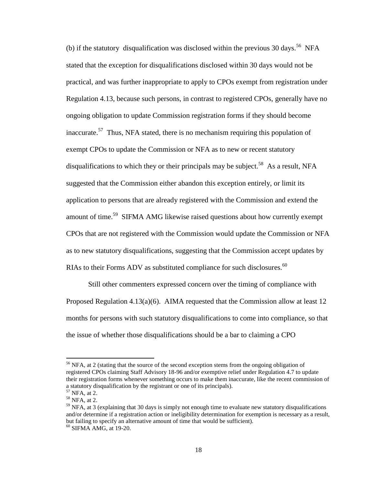(b) if the statutory disqualification was disclosed within the previous 30 days.<sup>56</sup> NFA stated that the exception for disqualifications disclosed within 30 days would not be practical, and was further inappropriate to apply to CPOs exempt from registration under Regulation 4.13, because such persons, in contrast to registered CPOs, generally have no ongoing obligation to update Commission registration forms if they should become inaccurate.<sup>57</sup> Thus, NFA stated, there is no mechanism requiring this population of exempt CPOs to update the Commission or NFA as to new or recent statutory disqualifications to which they or their principals may be subject.<sup>58</sup> As a result, NFA suggested that the Commission either abandon this exception entirely, or limit its application to persons that are already registered with the Commission and extend the amount of time.<sup>59</sup> SIFMA AMG likewise raised questions about how currently exempt CPOs that are not registered with the Commission would update the Commission or NFA as to new statutory disqualifications, suggesting that the Commission accept updates by RIAs to their Forms ADV as substituted compliance for such disclosures.  $60$ 

Still other commenters expressed concern over the timing of compliance with Proposed Regulation 4.13(a)(6). AIMA requested that the Commission allow at least 12 months for persons with such statutory disqualifications to come into compliance, so that the issue of whether those disqualifications should be a bar to claiming a CPO

<sup>&</sup>lt;sup>56</sup> NFA, at 2 (stating that the source of the second exception stems from the ongoing obligation of registered CPOs claiming Staff Advisory 18-96 and/or exemptive relief under Regulation 4.7 to update their registration forms whenever something occurs to make them inaccurate, like the recent commission of a statutory disqualification by the registrant or one of its principals).

<sup>57</sup> NFA, at 2.

<sup>58</sup> NFA, at 2.

 $<sup>59</sup>$  NFA, at 3 (explaining that 30 days is simply not enough time to evaluate new statutory disqualifications</sup> and/or determine if a registration action or ineligibility determination for exemption is necessary as a result, but failing to specify an alternative amount of time that would be sufficient). <sup>60</sup> SIFMA AMG, at 19-20.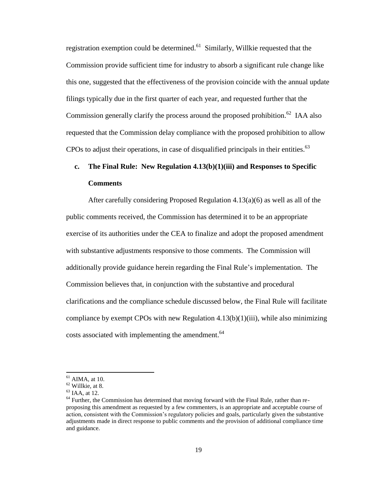registration exemption could be determined.<sup>61</sup> Similarly, Willkie requested that the Commission provide sufficient time for industry to absorb a significant rule change like this one, suggested that the effectiveness of the provision coincide with the annual update filings typically due in the first quarter of each year, and requested further that the Commission generally clarify the process around the proposed prohibition.<sup>62</sup> IAA also requested that the Commission delay compliance with the proposed prohibition to allow CPOs to adjust their operations, in case of disqualified principals in their entities. $^{63}$ 

# **c. The Final Rule: New Regulation 4.13(b)(1)(iii) and Responses to Specific Comments**

After carefully considering Proposed Regulation 4.13(a)(6) as well as all of the public comments received, the Commission has determined it to be an appropriate exercise of its authorities under the CEA to finalize and adopt the proposed amendment with substantive adjustments responsive to those comments. The Commission will additionally provide guidance herein regarding the Final Rule's implementation. The Commission believes that, in conjunction with the substantive and procedural clarifications and the compliance schedule discussed below, the Final Rule will facilitate compliance by exempt CPOs with new Regulation 4.13(b)(1)(iii), while also minimizing costs associated with implementing the amendment.<sup>64</sup>

l

 $<sup>61</sup>$  AIMA, at 10.</sup>

<sup>62</sup> Willkie, at 8.

<sup>63</sup> IAA, at 12.

<sup>&</sup>lt;sup>64</sup> Further, the Commission has determined that moving forward with the Final Rule, rather than reproposing this amendment as requested by a few commenters, is an appropriate and acceptable course of action, consistent with the Commission's regulatory policies and goals, particularly given the substantive adjustments made in direct response to public comments and the provision of additional compliance time and guidance.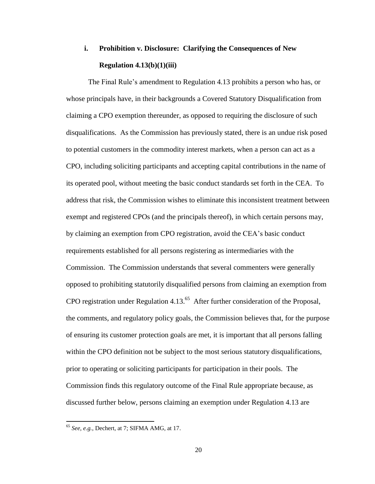# **i. Prohibition v. Disclosure: Clarifying the Consequences of New Regulation 4.13(b)(1)(iii)**

The Final Rule's amendment to Regulation 4.13 prohibits a person who has, or whose principals have, in their backgrounds a Covered Statutory Disqualification from claiming a CPO exemption thereunder, as opposed to requiring the disclosure of such disqualifications. As the Commission has previously stated, there is an undue risk posed to potential customers in the commodity interest markets, when a person can act as a CPO, including soliciting participants and accepting capital contributions in the name of its operated pool, without meeting the basic conduct standards set forth in the CEA. To address that risk, the Commission wishes to eliminate this inconsistent treatment between exempt and registered CPOs (and the principals thereof), in which certain persons may, by claiming an exemption from CPO registration, avoid the CEA's basic conduct requirements established for all persons registering as intermediaries with the Commission. The Commission understands that several commenters were generally opposed to prohibiting statutorily disqualified persons from claiming an exemption from CPO registration under Regulation 4.13. $<sup>65</sup>$  After further consideration of the Proposal,</sup> the comments, and regulatory policy goals, the Commission believes that, for the purpose of ensuring its customer protection goals are met, it is important that all persons falling within the CPO definition not be subject to the most serious statutory disqualifications, prior to operating or soliciting participants for participation in their pools. The Commission finds this regulatory outcome of the Final Rule appropriate because, as discussed further below, persons claiming an exemption under Regulation 4.13 are

<sup>65</sup> *See, e.g.*, Dechert, at 7; SIFMA AMG, at 17.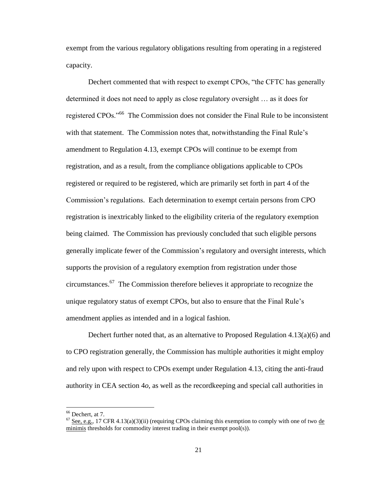exempt from the various regulatory obligations resulting from operating in a registered capacity.

Dechert commented that with respect to exempt CPOs, "the CFTC has generally determined it does not need to apply as close regulatory oversight … as it does for registered CPOs."<sup>66</sup> The Commission does not consider the Final Rule to be inconsistent with that statement. The Commission notes that, notwithstanding the Final Rule's amendment to Regulation 4.13, exempt CPOs will continue to be exempt from registration, and as a result, from the compliance obligations applicable to CPOs registered or required to be registered, which are primarily set forth in part 4 of the Commission's regulations. Each determination to exempt certain persons from CPO registration is inextricably linked to the eligibility criteria of the regulatory exemption being claimed. The Commission has previously concluded that such eligible persons generally implicate fewer of the Commission's regulatory and oversight interests, which supports the provision of a regulatory exemption from registration under those circumstances. 67 The Commission therefore believes it appropriate to recognize the unique regulatory status of exempt CPOs, but also to ensure that the Final Rule's amendment applies as intended and in a logical fashion.

Dechert further noted that, as an alternative to Proposed Regulation 4.13(a)(6) and to CPO registration generally, the Commission has multiple authorities it might employ and rely upon with respect to CPOs exempt under Regulation 4.13, citing the anti-fraud authority in CEA section 4*o*, as well as the recordkeeping and special call authorities in

 $66$  Dechert, at 7.

 $<sup>67</sup>$  See, e.g., 17 CFR 4.13(a)(3)(ii) (requiring CPOs claiming this exemption to comply with one of two de</sup> minimis thresholds for commodity interest trading in their exempt pool(s)).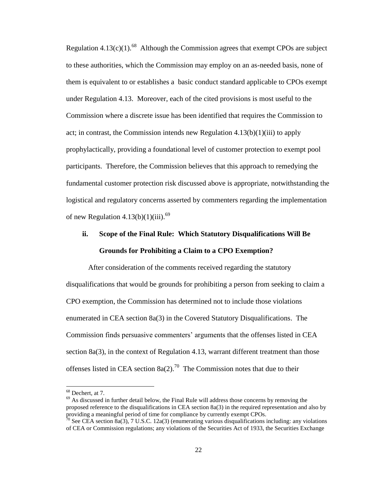Regulation  $4.13(c)(1)$ .<sup>68</sup> Although the Commission agrees that exempt CPOs are subject to these authorities, which the Commission may employ on an as-needed basis, none of them is equivalent to or establishes a basic conduct standard applicable to CPOs exempt under Regulation 4.13. Moreover, each of the cited provisions is most useful to the Commission where a discrete issue has been identified that requires the Commission to act; in contrast, the Commission intends new Regulation  $4.13(b)(1)(iii)$  to apply prophylactically, providing a foundational level of customer protection to exempt pool participants. Therefore, the Commission believes that this approach to remedying the fundamental customer protection risk discussed above is appropriate, notwithstanding the logistical and regulatory concerns asserted by commenters regarding the implementation of new Regulation  $4.13(b)(1)(iii)$ .<sup>69</sup>

# **ii. Scope of the Final Rule: Which Statutory Disqualifications Will Be Grounds for Prohibiting a Claim to a CPO Exemption?**

After consideration of the comments received regarding the statutory disqualifications that would be grounds for prohibiting a person from seeking to claim a CPO exemption, the Commission has determined not to include those violations enumerated in CEA section 8a(3) in the Covered Statutory Disqualifications. The Commission finds persuasive commenters' arguments that the offenses listed in CEA section 8a(3), in the context of Regulation 4.13, warrant different treatment than those offenses listed in CEA section  $8a(2)$ .<sup>70</sup> The Commission notes that due to their

 $\overline{\phantom{a}}$ 

<sup>69</sup> As discussed in further detail below, the Final Rule will address those concerns by removing the proposed reference to the disqualifications in CEA section 8a(3) in the required representation and also by providing a meaningful period of time for compliance by currently exempt CPOs.

 $68$  Dechert, at 7.

 $70$  See CEA section 8a(3), 7 U.S.C. 12a(3) (enumerating various disqualifications including: any violations of CEA or Commission regulations; any violations of the Securities Act of 1933, the Securities Exchange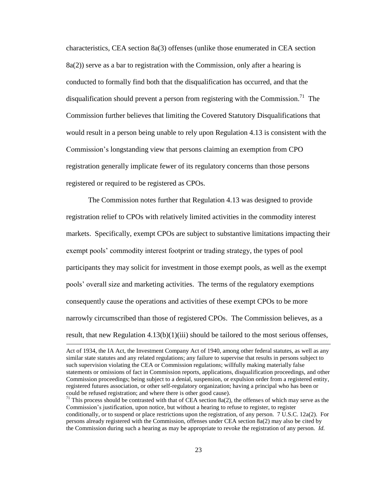characteristics, CEA section 8a(3) offenses (unlike those enumerated in CEA section  $8a(2)$ ) serve as a bar to registration with the Commission, only after a hearing is conducted to formally find both that the disqualification has occurred, and that the disqualification should prevent a person from registering with the Commission.<sup>71</sup> The Commission further believes that limiting the Covered Statutory Disqualifications that would result in a person being unable to rely upon Regulation 4.13 is consistent with the Commission's longstanding view that persons claiming an exemption from CPO registration generally implicate fewer of its regulatory concerns than those persons registered or required to be registered as CPOs.

The Commission notes further that Regulation 4.13 was designed to provide registration relief to CPOs with relatively limited activities in the commodity interest markets. Specifically, exempt CPOs are subject to substantive limitations impacting their exempt pools' commodity interest footprint or trading strategy, the types of pool participants they may solicit for investment in those exempt pools, as well as the exempt pools' overall size and marketing activities. The terms of the regulatory exemptions consequently cause the operations and activities of these exempt CPOs to be more narrowly circumscribed than those of registered CPOs. The Commission believes, as a result, that new Regulation  $4.13(b)(1)(iii)$  should be tailored to the most serious offenses,

l

Act of 1934, the IA Act, the Investment Company Act of 1940, among other federal statutes, as well as any similar state statutes and any related regulations; any failure to supervise that results in persons subject to such supervision violating the CEA or Commission regulations; willfully making materially false statements or omissions of fact in Commission reports, applications, disqualification proceedings, and other Commission proceedings; being subject to a denial, suspension, or expulsion order from a registered entity, registered futures association, or other self-regulatory organization; having a principal who has been or could be refused registration; and where there is other good cause).

<sup>&</sup>lt;sup>71</sup> This process should be contrasted with that of CEA section 8a(2), the offenses of which may serve as the Commission's justification, upon notice, but without a hearing to refuse to register, to register conditionally, or to suspend or place restrictions upon the registration, of any person. 7 U.S.C. 12a(2). For persons already registered with the Commission, offenses under CEA section 8a(2) may also be cited by the Commission during such a hearing as may be appropriate to revoke the registration of any person. *Id.*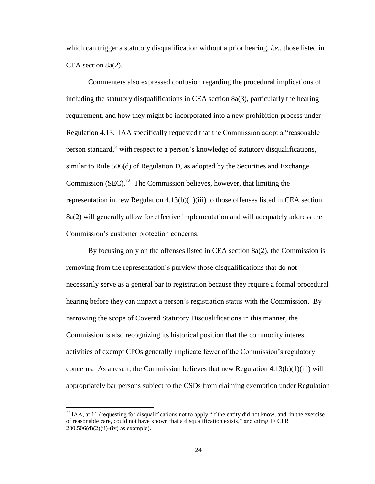which can trigger a statutory disqualification without a prior hearing, *i.e.*, those listed in CEA section 8a(2).

Commenters also expressed confusion regarding the procedural implications of including the statutory disqualifications in CEA section  $8a(3)$ , particularly the hearing requirement, and how they might be incorporated into a new prohibition process under Regulation 4.13. IAA specifically requested that the Commission adopt a "reasonable person standard," with respect to a person's knowledge of statutory disqualifications, similar to Rule 506(d) of Regulation D, as adopted by the Securities and Exchange Commission (SEC).<sup>72</sup> The Commission believes, however, that limiting the representation in new Regulation  $4.13(b)(1)(iii)$  to those offenses listed in CEA section 8a(2) will generally allow for effective implementation and will adequately address the Commission's customer protection concerns.

By focusing only on the offenses listed in CEA section 8a(2), the Commission is removing from the representation's purview those disqualifications that do not necessarily serve as a general bar to registration because they require a formal procedural hearing before they can impact a person's registration status with the Commission. By narrowing the scope of Covered Statutory Disqualifications in this manner, the Commission is also recognizing its historical position that the commodity interest activities of exempt CPOs generally implicate fewer of the Commission's regulatory concerns. As a result, the Commission believes that new Regulation  $4.13(b)(1)(iii)$  will appropriately bar persons subject to the CSDs from claiming exemption under Regulation

 $^{72}$  IAA, at 11 (requesting for disqualifications not to apply "if the entity did not know, and, in the exercise of reasonable care, could not have known that a disqualification exists," and citing 17 CFR  $230.506(d)(2)(ii) - (iv)$  as example).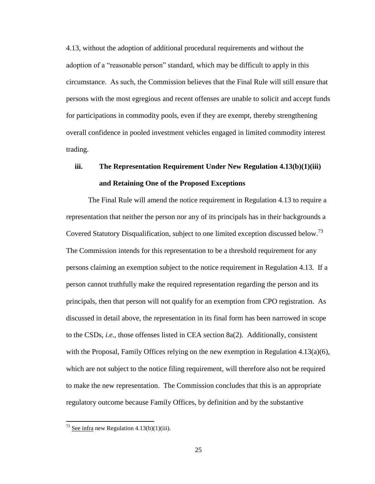4.13, without the adoption of additional procedural requirements and without the adoption of a "reasonable person" standard, which may be difficult to apply in this circumstance. As such, the Commission believes that the Final Rule will still ensure that persons with the most egregious and recent offenses are unable to solicit and accept funds for participations in commodity pools, even if they are exempt, thereby strengthening overall confidence in pooled investment vehicles engaged in limited commodity interest trading.

# **iii. The Representation Requirement Under New Regulation 4.13(b)(1)(iii) and Retaining One of the Proposed Exceptions**

The Final Rule will amend the notice requirement in Regulation 4.13 to require a representation that neither the person nor any of its principals has in their backgrounds a Covered Statutory Disqualification, subject to one limited exception discussed below.<sup>73</sup> The Commission intends for this representation to be a threshold requirement for any persons claiming an exemption subject to the notice requirement in Regulation 4.13. If a person cannot truthfully make the required representation regarding the person and its principals, then that person will not qualify for an exemption from CPO registration. As discussed in detail above, the representation in its final form has been narrowed in scope to the CSDs, *i.e.*, those offenses listed in CEA section 8a(2). Additionally, consistent with the Proposal, Family Offices relying on the new exemption in Regulation  $4.13(a)(6)$ , which are not subject to the notice filing requirement, will therefore also not be required to make the new representation. The Commission concludes that this is an appropriate regulatory outcome because Family Offices, by definition and by the substantive

 $^{73}$  See infra new Regulation 4.13(b)(1)(iii).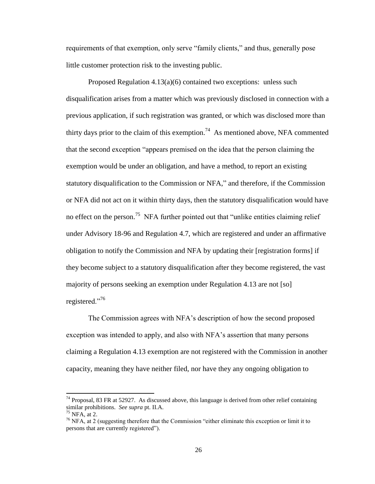requirements of that exemption, only serve "family clients," and thus, generally pose little customer protection risk to the investing public.

Proposed Regulation 4.13(a)(6) contained two exceptions: unless such disqualification arises from a matter which was previously disclosed in connection with a previous application, if such registration was granted, or which was disclosed more than thirty days prior to the claim of this exemption.<sup>74</sup> As mentioned above, NFA commented that the second exception "appears premised on the idea that the person claiming the exemption would be under an obligation, and have a method, to report an existing statutory disqualification to the Commission or NFA," and therefore, if the Commission or NFA did not act on it within thirty days, then the statutory disqualification would have no effect on the person.<sup>75</sup> NFA further pointed out that "unlike entities claiming relief under Advisory 18-96 and Regulation 4.7, which are registered and under an affirmative obligation to notify the Commission and NFA by updating their [registration forms] if they become subject to a statutory disqualification after they become registered, the vast majority of persons seeking an exemption under Regulation 4.13 are not [so] registered."<sup>76</sup>

The Commission agrees with NFA's description of how the second proposed exception was intended to apply, and also with NFA's assertion that many persons claiming a Regulation 4.13 exemption are not registered with the Commission in another capacity, meaning they have neither filed, nor have they any ongoing obligation to

 $\overline{a}$ 

 $74$  Proposal, 83 FR at 52927. As discussed above, this language is derived from other relief containing similar prohibitions. *See supra* pt. II.A.

 $75$  NFA, at 2.

<sup>76</sup> NFA, at 2 (suggesting therefore that the Commission "either eliminate this exception or limit it to persons that are currently registered").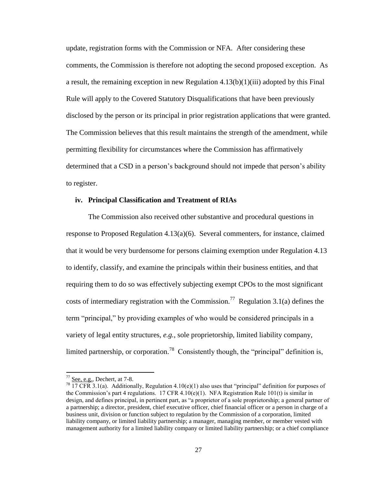update, registration forms with the Commission or NFA. After considering these comments, the Commission is therefore not adopting the second proposed exception. As a result, the remaining exception in new Regulation  $4.13(b)(1)(iii)$  adopted by this Final Rule will apply to the Covered Statutory Disqualifications that have been previously disclosed by the person or its principal in prior registration applications that were granted. The Commission believes that this result maintains the strength of the amendment, while permitting flexibility for circumstances where the Commission has affirmatively determined that a CSD in a person's background should not impede that person's ability to register.

#### **iv. Principal Classification and Treatment of RIAs**

The Commission also received other substantive and procedural questions in response to Proposed Regulation 4.13(a)(6). Several commenters, for instance, claimed that it would be very burdensome for persons claiming exemption under Regulation 4.13 to identify, classify, and examine the principals within their business entities, and that requiring them to do so was effectively subjecting exempt CPOs to the most significant costs of intermediary registration with the Commission.<sup>77</sup> Regulation 3.1(a) defines the term "principal," by providing examples of who would be considered principals in a variety of legal entity structures, *e.g.*, sole proprietorship, limited liability company, limited partnership, or corporation.<sup>78</sup> Consistently though, the "principal" definition is,

l

 $77$  See, e.g., Dechert, at 7-8.

<sup>&</sup>lt;sup>78</sup> 17 CFR 3.1(a). Additionally, Regulation 4.10(e)(1) also uses that "principal" definition for purposes of the Commission's part 4 regulations. 17 CFR 4.10(e)(1). NFA Registration Rule 101(t) is similar in design, and defines principal, in pertinent part, as "a proprietor of a sole proprietorship; a general partner of a partnership; a director, president, chief executive officer, chief financial officer or a person in charge of a business unit, division or function subject to regulation by the Commission of a corporation, limited liability company, or limited liability partnership; a manager, managing member, or member vested with management authority for a limited liability company or limited liability partnership; or a chief compliance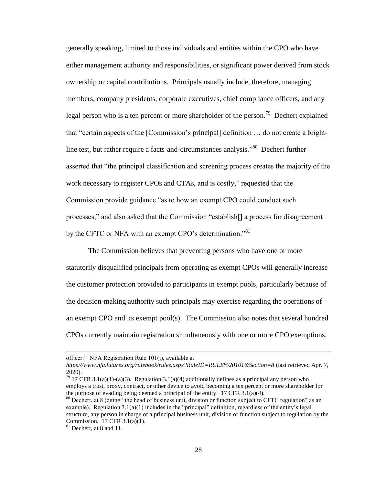generally speaking, limited to those individuals and entities within the CPO who have either management authority and responsibilities, or significant power derived from stock ownership or capital contributions. Principals usually include, therefore, managing members, company presidents, corporate executives, chief compliance officers, and any legal person who is a ten percent or more shareholder of the person.<sup>79</sup> Dechert explained that "certain aspects of the [Commission's principal] definition … do not create a brightline test, but rather require a facts-and-circumstances analysis."<sup>80</sup> Dechert further asserted that "the principal classification and screening process creates the majority of the work necessary to register CPOs and CTAs, and is costly," requested that the Commission provide guidance "as to how an exempt CPO could conduct such processes," and also asked that the Commission "establish[] a process for disagreement by the CFTC or NFA with an exempt CPO's determination."<sup>81</sup>

The Commission believes that preventing persons who have one or more statutorily disqualified principals from operating as exempt CPOs will generally increase the customer protection provided to participants in exempt pools, particularly because of the decision-making authority such principals may exercise regarding the operations of an exempt CPO and its exempt pool(s). The Commission also notes that several hundred CPOs currently maintain registration simultaneously with one or more CPO exemptions,

 $\overline{a}$ 

officer." NFA Registration Rule 101(t), available at

*https://www.nfa.futures.org/rulebook/rules.aspx?RuleID=RULE%20101&Section=8* (last retrieved Apr. 7, 2020).

<sup>&</sup>lt;sup>79</sup> 17 CFR 3.1(a)(1)-(a)(3). Regulation 3.1(a)(4) additionally defines as a principal any person who employs a trust, proxy, contract, or other device to avoid becoming a ten percent or more shareholder for the purpose of evading being deemed a principal of the entity. 17 CFR 3.1(a)(4).

<sup>&</sup>lt;sup>80</sup> Dechert, at 8 (citing "the head of business unit, division or function subject to CFTC regulation" as an example). Regulation  $3.1(a)(1)$  includes in the "principal" definition, regardless of the entity's legal structure, any person in charge of a principal business unit, division or function subject to regulation by the Commission. 17 CFR 3.1(a)(1).

<sup>&</sup>lt;sup>81</sup> Dechert, at 8 and 11.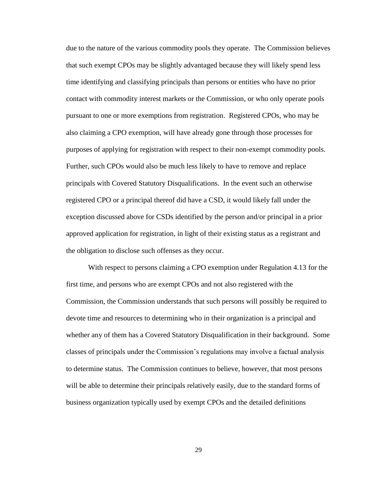due to the nature of the various commodity pools they operate. The Commission believes that such exempt CPOs may be slightly advantaged because they will likely spend less time identifying and classifying principals than persons or entities who have no prior contact with commodity interest markets or the Commission, or who only operate pools pursuant to one or more exemptions from registration. Registered CPOs, who may be also claiming a CPO exemption, will have already gone through those processes for purposes of applying for registration with respect to their non-exempt commodity pools. Further, such CPOs would also be much less likely to have to remove and replace principals with Covered Statutory Disqualifications. In the event such an otherwise registered CPO or a principal thereof did have a CSD, it would likely fall under the exception discussed above for CSDs identified by the person and/or principal in a prior approved application for registration, in light of their existing status as a registrant and the obligation to disclose such offenses as they occur.

With respect to persons claiming a CPO exemption under Regulation 4.13 for the first time, and persons who are exempt CPOs and not also registered with the Commission, the Commission understands that such persons will possibly be required to devote time and resources to determining who in their organization is a principal and whether any of them has a Covered Statutory Disqualification in their background. Some classes of principals under the Commission's regulations may involve a factual analysis to determine status. The Commission continues to believe, however, that most persons will be able to determine their principals relatively easily, due to the standard forms of business organization typically used by exempt CPOs and the detailed definitions

29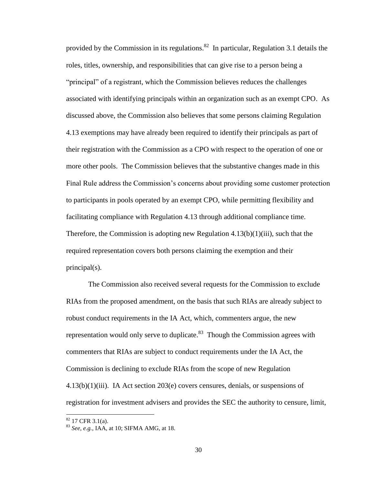provided by the Commission in its regulations.<sup>82</sup> In particular, Regulation 3.1 details the roles, titles, ownership, and responsibilities that can give rise to a person being a "principal" of a registrant, which the Commission believes reduces the challenges associated with identifying principals within an organization such as an exempt CPO. As discussed above, the Commission also believes that some persons claiming Regulation 4.13 exemptions may have already been required to identify their principals as part of their registration with the Commission as a CPO with respect to the operation of one or more other pools. The Commission believes that the substantive changes made in this Final Rule address the Commission's concerns about providing some customer protection to participants in pools operated by an exempt CPO, while permitting flexibility and facilitating compliance with Regulation 4.13 through additional compliance time. Therefore, the Commission is adopting new Regulation  $4.13(b)(1)(iii)$ , such that the required representation covers both persons claiming the exemption and their principal(s).

The Commission also received several requests for the Commission to exclude RIAs from the proposed amendment, on the basis that such RIAs are already subject to robust conduct requirements in the IA Act, which, commenters argue, the new representation would only serve to duplicate. $83$  Though the Commission agrees with commenters that RIAs are subject to conduct requirements under the IA Act, the Commission is declining to exclude RIAs from the scope of new Regulation  $4.13(b)(1)(iii)$ . IA Act section  $203(e)$  covers censures, denials, or suspensions of registration for investment advisers and provides the SEC the authority to censure, limit,

l

 $82$  17 CFR 3.1(a).

<sup>83</sup> *See, e.g.*, IAA, at 10; SIFMA AMG, at 18.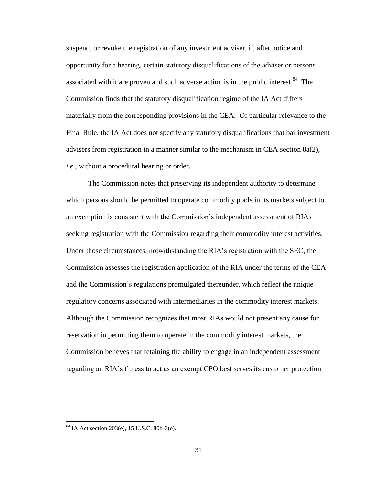suspend, or revoke the registration of any investment adviser, if, after notice and opportunity for a hearing, certain statutory disqualifications of the adviser or persons associated with it are proven and such adverse action is in the public interest.<sup>84</sup> The Commission finds that the statutory disqualification regime of the IA Act differs materially from the corresponding provisions in the CEA. Of particular relevance to the Final Rule, the IA Act does not specify any statutory disqualifications that bar investment advisers from registration in a manner similar to the mechanism in CEA section 8a(2), *i.e.*, without a procedural hearing or order.

The Commission notes that preserving its independent authority to determine which persons should be permitted to operate commodity pools in its markets subject to an exemption is consistent with the Commission's independent assessment of RIAs seeking registration with the Commission regarding their commodity interest activities. Under those circumstances, notwithstanding the RIA's registration with the SEC, the Commission assesses the registration application of the RIA under the terms of the CEA and the Commission's regulations promulgated thereunder, which reflect the unique regulatory concerns associated with intermediaries in the commodity interest markets. Although the Commission recognizes that most RIAs would not present any cause for reservation in permitting them to operate in the commodity interest markets, the Commission believes that retaining the ability to engage in an independent assessment regarding an RIA's fitness to act as an exempt CPO best serves its customer protection

 $84$  IA Act section 203(e), 15 U.S.C. 80b-3(e).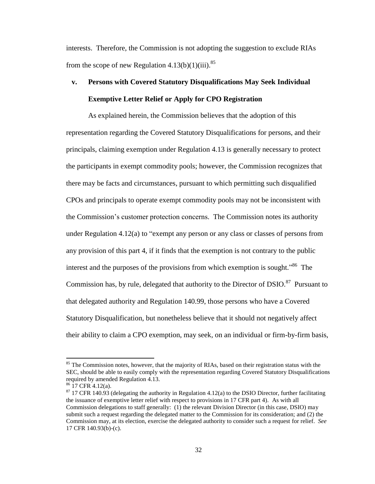interests. Therefore, the Commission is not adopting the suggestion to exclude RIAs from the scope of new Regulation  $4.13(b)(1)(iii).$ <sup>85</sup>

# **v. Persons with Covered Statutory Disqualifications May Seek Individual Exemptive Letter Relief or Apply for CPO Registration**

As explained herein, the Commission believes that the adoption of this representation regarding the Covered Statutory Disqualifications for persons, and their principals, claiming exemption under Regulation 4.13 is generally necessary to protect the participants in exempt commodity pools; however, the Commission recognizes that there may be facts and circumstances, pursuant to which permitting such disqualified CPOs and principals to operate exempt commodity pools may not be inconsistent with the Commission's customer protection concerns. The Commission notes its authority under Regulation 4.12(a) to "exempt any person or any class or classes of persons from any provision of this part 4, if it finds that the exemption is not contrary to the public interest and the purposes of the provisions from which exemption is sought."<sup>86</sup> The Commission has, by rule, delegated that authority to the Director of DSIO.<sup>87</sup> Pursuant to that delegated authority and Regulation 140.99, those persons who have a Covered Statutory Disqualification, but nonetheless believe that it should not negatively affect their ability to claim a CPO exemption, may seek, on an individual or firm-by-firm basis,

 $85$  The Commission notes, however, that the majority of RIAs, based on their registration status with the SEC, should be able to easily comply with the representation regarding Covered Statutory Disqualifications required by amended Regulation 4.13.

 $86$  17 CFR 4.12(a).

 $87$  17 CFR 140.93 (delegating the authority in Regulation 4.12(a) to the DSIO Director, further facilitating the issuance of exemptive letter relief with respect to provisions in 17 CFR part 4). As with all Commission delegations to staff generally: (1) the relevant Division Director (in this case, DSIO) may submit such a request regarding the delegated matter to the Commission for its consideration; and (2) the Commission may, at its election, exercise the delegated authority to consider such a request for relief. *See* 17 CFR 140.93(b)-(c).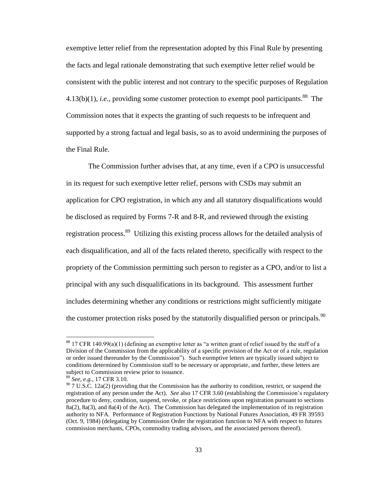exemptive letter relief from the representation adopted by this Final Rule by presenting the facts and legal rationale demonstrating that such exemptive letter relief would be consistent with the public interest and not contrary to the specific purposes of Regulation  $4.13(b)(1)$ , *i.e.*, providing some customer protection to exempt pool participants.<sup>88</sup> The Commission notes that it expects the granting of such requests to be infrequent and supported by a strong factual and legal basis, so as to avoid undermining the purposes of the Final Rule.

The Commission further advises that, at any time, even if a CPO is unsuccessful in its request for such exemptive letter relief, persons with CSDs may submit an application for CPO registration, in which any and all statutory disqualifications would be disclosed as required by Forms 7-R and 8-R, and reviewed through the existing registration process.<sup>89</sup> Utilizing this existing process allows for the detailed analysis of each disqualification, and all of the facts related thereto, specifically with respect to the propriety of the Commission permitting such person to register as a CPO, and/or to list a principal with any such disqualifications in its background. This assessment further includes determining whether any conditions or restrictions might sufficiently mitigate the customer protection risks posed by the statutorily disqualified person or principals.  $90$ 

 $88$  17 CFR 140.99(a)(1) (defining an exemptive letter as "a written grant of relief issued by the staff of a Division of the Commission from the applicability of a specific provision of the Act or of a rule, regulation or order issued thereunder by the Commission"). Such exemptive letters are typically issued subject to conditions determined by Commission staff to be necessary or appropriate, and further, these letters are subject to Commission review prior to issuance.

<sup>89</sup> *See, e.g.*, 17 CFR 3.10.

 $90$  7 U.S.C. 12a(2) (providing that the Commission has the authority to condition, restrict, or suspend the registration of any person under the Act). *See* also 17 CFR 3.60 (establishing the Commission's regulatory procedure to deny, condition, suspend, revoke, or place restrictions upon registration pursuant to sections 8a(2), 8a(3), and 8a(4) of the Act). The Commission has delegated the implementation of its registration authority to NFA. Performance of Registration Functions by National Futures Association, 49 FR 39593 (Oct. 9, 1984) (delegating by Commission Order the registration function to NFA with respect to futures commission merchants, CPOs, commodity trading advisors, and the associated persons thereof).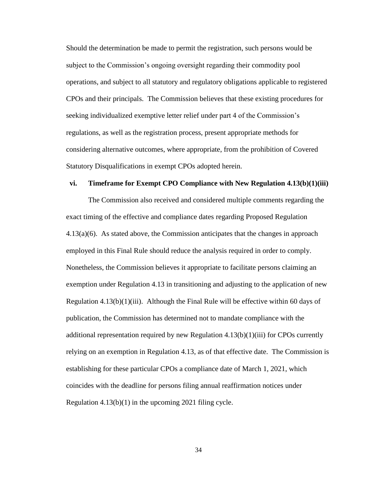Should the determination be made to permit the registration, such persons would be subject to the Commission's ongoing oversight regarding their commodity pool operations, and subject to all statutory and regulatory obligations applicable to registered CPOs and their principals. The Commission believes that these existing procedures for seeking individualized exemptive letter relief under part 4 of the Commission's regulations, as well as the registration process, present appropriate methods for considering alternative outcomes, where appropriate, from the prohibition of Covered Statutory Disqualifications in exempt CPOs adopted herein.

#### **vi. Timeframe for Exempt CPO Compliance with New Regulation 4.13(b)(1)(iii)**

The Commission also received and considered multiple comments regarding the exact timing of the effective and compliance dates regarding Proposed Regulation 4.13(a)(6). As stated above, the Commission anticipates that the changes in approach employed in this Final Rule should reduce the analysis required in order to comply. Nonetheless, the Commission believes it appropriate to facilitate persons claiming an exemption under Regulation 4.13 in transitioning and adjusting to the application of new Regulation 4.13(b)(1)(iii). Although the Final Rule will be effective within 60 days of publication, the Commission has determined not to mandate compliance with the additional representation required by new Regulation  $4.13(b)(1)(iii)$  for CPOs currently relying on an exemption in Regulation 4.13, as of that effective date. The Commission is establishing for these particular CPOs a compliance date of March 1, 2021, which coincides with the deadline for persons filing annual reaffirmation notices under Regulation 4.13(b)(1) in the upcoming 2021 filing cycle.

34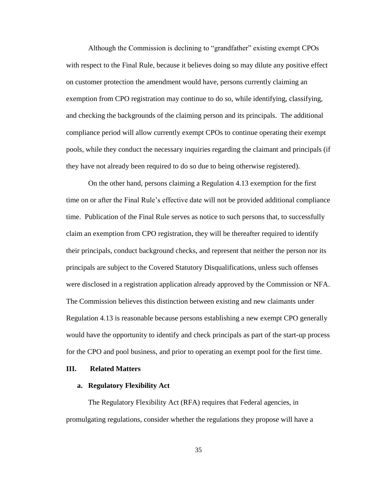Although the Commission is declining to "grandfather" existing exempt CPOs with respect to the Final Rule, because it believes doing so may dilute any positive effect on customer protection the amendment would have, persons currently claiming an exemption from CPO registration may continue to do so, while identifying, classifying, and checking the backgrounds of the claiming person and its principals. The additional compliance period will allow currently exempt CPOs to continue operating their exempt pools, while they conduct the necessary inquiries regarding the claimant and principals (if they have not already been required to do so due to being otherwise registered).

On the other hand, persons claiming a Regulation 4.13 exemption for the first time on or after the Final Rule's effective date will not be provided additional compliance time. Publication of the Final Rule serves as notice to such persons that, to successfully claim an exemption from CPO registration, they will be thereafter required to identify their principals, conduct background checks, and represent that neither the person nor its principals are subject to the Covered Statutory Disqualifications, unless such offenses were disclosed in a registration application already approved by the Commission or NFA. The Commission believes this distinction between existing and new claimants under Regulation 4.13 is reasonable because persons establishing a new exempt CPO generally would have the opportunity to identify and check principals as part of the start-up process for the CPO and pool business, and prior to operating an exempt pool for the first time.

## **III. Related Matters**

#### **a. Regulatory Flexibility Act**

The Regulatory Flexibility Act (RFA) requires that Federal agencies, in promulgating regulations, consider whether the regulations they propose will have a

35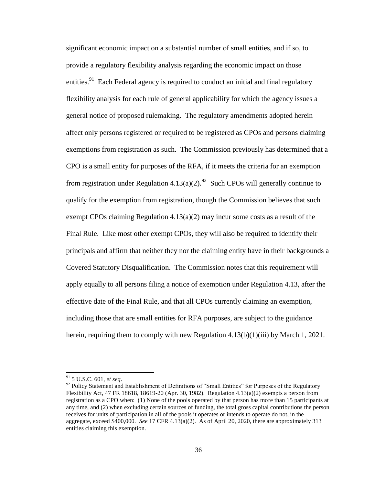significant economic impact on a substantial number of small entities, and if so, to provide a regulatory flexibility analysis regarding the economic impact on those entities.<sup>91</sup> Each Federal agency is required to conduct an initial and final regulatory flexibility analysis for each rule of general applicability for which the agency issues a general notice of proposed rulemaking. The regulatory amendments adopted herein affect only persons registered or required to be registered as CPOs and persons claiming exemptions from registration as such. The Commission previously has determined that a CPO is a small entity for purposes of the RFA, if it meets the criteria for an exemption from registration under Regulation  $4.13(a)(2)$ .<sup>92</sup> Such CPOs will generally continue to qualify for the exemption from registration, though the Commission believes that such exempt CPOs claiming Regulation 4.13(a)(2) may incur some costs as a result of the Final Rule. Like most other exempt CPOs, they will also be required to identify their principals and affirm that neither they nor the claiming entity have in their backgrounds a Covered Statutory Disqualification. The Commission notes that this requirement will apply equally to all persons filing a notice of exemption under Regulation 4.13, after the effective date of the Final Rule, and that all CPOs currently claiming an exemption, including those that are small entities for RFA purposes, are subject to the guidance herein, requiring them to comply with new Regulation  $4.13(b)(1)(iii)$  by March 1, 2021.

l

<sup>91</sup> 5 U.S.C. 601, *et seq*.

<sup>&</sup>lt;sup>92</sup> Policy Statement and Establishment of Definitions of "Small Entities" for Purposes of the Regulatory Flexibility Act, 47 FR 18618, 18619-20 (Apr. 30, 1982). Regulation 4.13(a)(2) exempts a person from registration as a CPO when: (1) None of the pools operated by that person has more than 15 participants at any time, and (2) when excluding certain sources of funding, the total gross capital contributions the person receives for units of participation in all of the pools it operates or intends to operate do not, in the aggregate, exceed \$400,000. *See* 17 CFR 4.13(a)(2). As of April 20, 2020, there are approximately 313 entities claiming this exemption.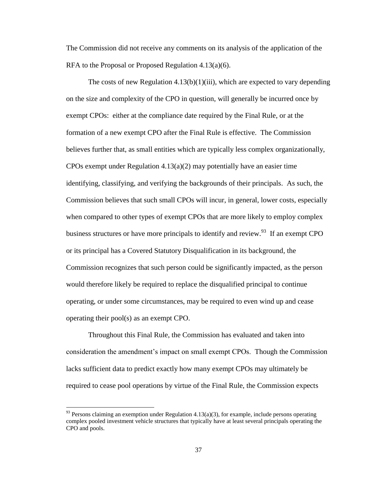The Commission did not receive any comments on its analysis of the application of the RFA to the Proposal or Proposed Regulation 4.13(a)(6).

The costs of new Regulation  $4.13(b)(1)(iii)$ , which are expected to vary depending on the size and complexity of the CPO in question, will generally be incurred once by exempt CPOs: either at the compliance date required by the Final Rule, or at the formation of a new exempt CPO after the Final Rule is effective. The Commission believes further that, as small entities which are typically less complex organizationally, CPOs exempt under Regulation  $4.13(a)(2)$  may potentially have an easier time identifying, classifying, and verifying the backgrounds of their principals. As such, the Commission believes that such small CPOs will incur, in general, lower costs, especially when compared to other types of exempt CPOs that are more likely to employ complex business structures or have more principals to identify and review.  $93$  If an exempt CPO or its principal has a Covered Statutory Disqualification in its background, the Commission recognizes that such person could be significantly impacted, as the person would therefore likely be required to replace the disqualified principal to continue operating, or under some circumstances, may be required to even wind up and cease operating their pool(s) as an exempt CPO.

Throughout this Final Rule, the Commission has evaluated and taken into consideration the amendment's impact on small exempt CPOs. Though the Commission lacks sufficient data to predict exactly how many exempt CPOs may ultimately be required to cease pool operations by virtue of the Final Rule, the Commission expects

 $93$  Persons claiming an exemption under Regulation 4.13(a)(3), for example, include persons operating complex pooled investment vehicle structures that typically have at least several principals operating the CPO and pools.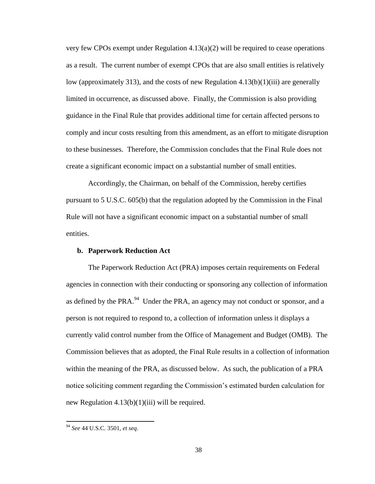very few CPOs exempt under Regulation  $4.13(a)(2)$  will be required to cease operations as a result. The current number of exempt CPOs that are also small entities is relatively low (approximately 313), and the costs of new Regulation 4.13(b)(1)(iii) are generally limited in occurrence, as discussed above. Finally, the Commission is also providing guidance in the Final Rule that provides additional time for certain affected persons to comply and incur costs resulting from this amendment, as an effort to mitigate disruption to these businesses. Therefore, the Commission concludes that the Final Rule does not create a significant economic impact on a substantial number of small entities.

Accordingly, the Chairman, on behalf of the Commission, hereby certifies pursuant to 5 U.S.C. 605(b) that the regulation adopted by the Commission in the Final Rule will not have a significant economic impact on a substantial number of small entities.

### **b. Paperwork Reduction Act**

The Paperwork Reduction Act (PRA) imposes certain requirements on Federal agencies in connection with their conducting or sponsoring any collection of information as defined by the PRA. $^{94}$  Under the PRA, an agency may not conduct or sponsor, and a person is not required to respond to, a collection of information unless it displays a currently valid control number from the Office of Management and Budget (OMB). The Commission believes that as adopted, the Final Rule results in a collection of information within the meaning of the PRA, as discussed below. As such, the publication of a PRA notice soliciting comment regarding the Commission's estimated burden calculation for new Regulation  $4.13(b)(1)(iii)$  will be required.

<sup>94</sup> *See* 44 U.S.C. 3501, *et seq*.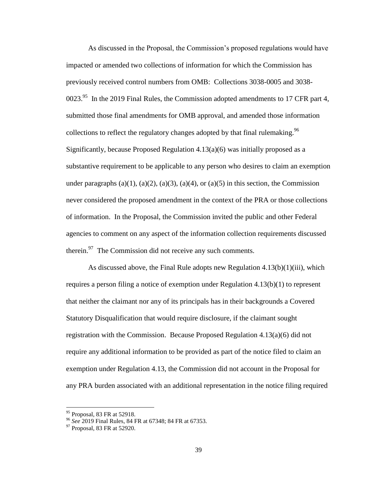As discussed in the Proposal, the Commission's proposed regulations would have impacted or amended two collections of information for which the Commission has previously received control numbers from OMB: Collections 3038-0005 and 3038- 0023. $^{95}$  In the 2019 Final Rules, the Commission adopted amendments to 17 CFR part 4, submitted those final amendments for OMB approval, and amended those information collections to reflect the regulatory changes adopted by that final rulemaking.<sup>96</sup> Significantly, because Proposed Regulation 4.13(a)(6) was initially proposed as a substantive requirement to be applicable to any person who desires to claim an exemption under paragraphs (a)(1), (a)(2), (a)(3), (a)(4), or (a)(5) in this section, the Commission never considered the proposed amendment in the context of the PRA or those collections of information. In the Proposal, the Commission invited the public and other Federal agencies to comment on any aspect of the information collection requirements discussed therein. $\frac{97}{7}$  The Commission did not receive any such comments.

As discussed above, the Final Rule adopts new Regulation  $4.13(b)(1)(iii)$ , which requires a person filing a notice of exemption under Regulation 4.13(b)(1) to represent that neither the claimant nor any of its principals has in their backgrounds a Covered Statutory Disqualification that would require disclosure, if the claimant sought registration with the Commission. Because Proposed Regulation 4.13(a)(6) did not require any additional information to be provided as part of the notice filed to claim an exemption under Regulation 4.13, the Commission did not account in the Proposal for any PRA burden associated with an additional representation in the notice filing required

 $95$  Proposal, 83 FR at 52918.

<sup>96</sup> *See* 2019 Final Rules, 84 FR at 67348; 84 FR at 67353.

 $97$  Proposal, 83 FR at 52920.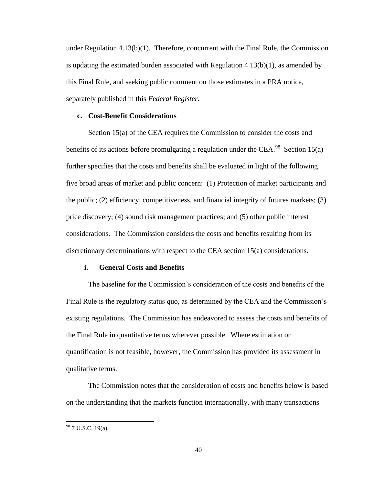under Regulation  $4.13(b)(1)$ . Therefore, concurrent with the Final Rule, the Commission is updating the estimated burden associated with Regulation  $4.13(b)(1)$ , as amended by this Final Rule, and seeking public comment on those estimates in a PRA notice, separately published in this *Federal Register*.

## **c. Cost-Benefit Considerations**

Section 15(a) of the CEA requires the Commission to consider the costs and benefits of its actions before promulgating a regulation under the CEA.<sup>98</sup> Section 15(a) further specifies that the costs and benefits shall be evaluated in light of the following five broad areas of market and public concern: (1) Protection of market participants and the public; (2) efficiency, competitiveness, and financial integrity of futures markets; (3) price discovery; (4) sound risk management practices; and (5) other public interest considerations. The Commission considers the costs and benefits resulting from its discretionary determinations with respect to the CEA section 15(a) considerations.

### **i. General Costs and Benefits**

The baseline for the Commission's consideration of the costs and benefits of the Final Rule is the regulatory status quo, as determined by the CEA and the Commission's existing regulations. The Commission has endeavored to assess the costs and benefits of the Final Rule in quantitative terms wherever possible. Where estimation or quantification is not feasible, however, the Commission has provided its assessment in qualitative terms.

The Commission notes that the consideration of costs and benefits below is based on the understanding that the markets function internationally, with many transactions

 $98$  7 U.S.C. 19(a).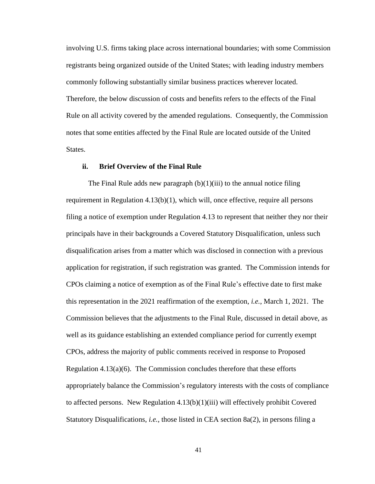involving U.S. firms taking place across international boundaries; with some Commission registrants being organized outside of the United States; with leading industry members commonly following substantially similar business practices wherever located. Therefore, the below discussion of costs and benefits refers to the effects of the Final Rule on all activity covered by the amended regulations. Consequently, the Commission notes that some entities affected by the Final Rule are located outside of the United States.

# **ii. Brief Overview of the Final Rule**

The Final Rule adds new paragraph  $(b)(1)(iii)$  to the annual notice filing requirement in Regulation  $4.13(b)(1)$ , which will, once effective, require all persons filing a notice of exemption under Regulation 4.13 to represent that neither they nor their principals have in their backgrounds a Covered Statutory Disqualification, unless such disqualification arises from a matter which was disclosed in connection with a previous application for registration, if such registration was granted. The Commission intends for CPOs claiming a notice of exemption as of the Final Rule's effective date to first make this representation in the 2021 reaffirmation of the exemption, *i.e.*, March 1, 2021. The Commission believes that the adjustments to the Final Rule, discussed in detail above, as well as its guidance establishing an extended compliance period for currently exempt CPOs, address the majority of public comments received in response to Proposed Regulation  $4.13(a)(6)$ . The Commission concludes therefore that these efforts appropriately balance the Commission's regulatory interests with the costs of compliance to affected persons. New Regulation  $4.13(b)(1)(iii)$  will effectively prohibit Covered Statutory Disqualifications, *i.e.*, those listed in CEA section 8a(2), in persons filing a

41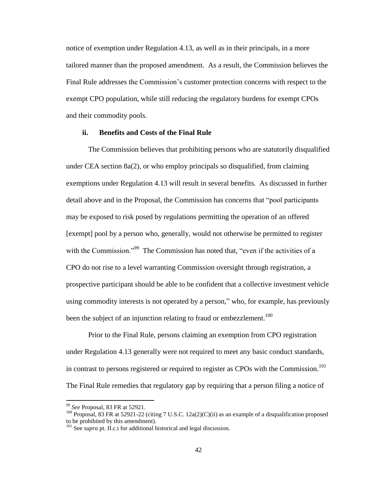notice of exemption under Regulation 4.13, as well as in their principals, in a more tailored manner than the proposed amendment. As a result, the Commission believes the Final Rule addresses the Commission's customer protection concerns with respect to the exempt CPO population, while still reducing the regulatory burdens for exempt CPOs and their commodity pools.

## **ii. Benefits and Costs of the Final Rule**

The Commission believes that prohibiting persons who are statutorily disqualified under CEA section 8a(2), or who employ principals so disqualified, from claiming exemptions under Regulation 4.13 will result in several benefits. As discussed in further detail above and in the Proposal, the Commission has concerns that "pool participants may be exposed to risk posed by regulations permitting the operation of an offered [exempt] pool by a person who, generally, would not otherwise be permitted to register with the Commission."<sup>99</sup> The Commission has noted that, "even if the activities of a CPO do not rise to a level warranting Commission oversight through registration, a prospective participant should be able to be confident that a collective investment vehicle using commodity interests is not operated by a person," who, for example, has previously been the subject of an injunction relating to fraud or embezzlement.<sup>100</sup>

Prior to the Final Rule, persons claiming an exemption from CPO registration under Regulation 4.13 generally were not required to meet any basic conduct standards, in contrast to persons registered or required to register as CPOs with the Commission.<sup>101</sup> The Final Rule remedies that regulatory gap by requiring that a person filing a notice of

<sup>99</sup> *See* Proposal, 83 FR at 52921.

<sup>&</sup>lt;sup>100</sup> Proposal, 83 FR at 52921-22 (citing 7 U.S.C. 12a(2)(C)(ii) as an example of a disqualification proposed to be prohibited by this amendment).

<sup>&</sup>lt;sup>101</sup> See *supra* pt. II.c.i for additional historical and legal discussion.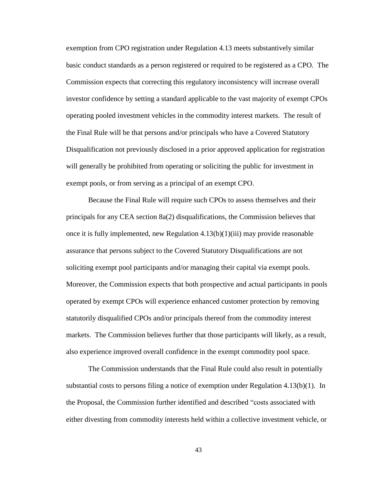exemption from CPO registration under Regulation 4.13 meets substantively similar basic conduct standards as a person registered or required to be registered as a CPO. The Commission expects that correcting this regulatory inconsistency will increase overall investor confidence by setting a standard applicable to the vast majority of exempt CPOs operating pooled investment vehicles in the commodity interest markets. The result of the Final Rule will be that persons and/or principals who have a Covered Statutory Disqualification not previously disclosed in a prior approved application for registration will generally be prohibited from operating or soliciting the public for investment in exempt pools, or from serving as a principal of an exempt CPO.

Because the Final Rule will require such CPOs to assess themselves and their principals for any CEA section 8a(2) disqualifications, the Commission believes that once it is fully implemented, new Regulation  $4.13(b)(1)(iii)$  may provide reasonable assurance that persons subject to the Covered Statutory Disqualifications are not soliciting exempt pool participants and/or managing their capital via exempt pools. Moreover, the Commission expects that both prospective and actual participants in pools operated by exempt CPOs will experience enhanced customer protection by removing statutorily disqualified CPOs and/or principals thereof from the commodity interest markets. The Commission believes further that those participants will likely, as a result, also experience improved overall confidence in the exempt commodity pool space.

The Commission understands that the Final Rule could also result in potentially substantial costs to persons filing a notice of exemption under Regulation 4.13(b)(1). In the Proposal, the Commission further identified and described "costs associated with either divesting from commodity interests held within a collective investment vehicle, or

43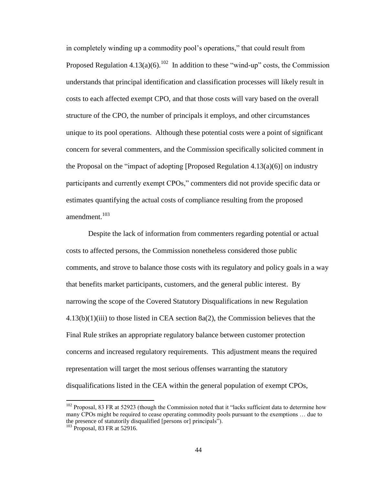in completely winding up a commodity pool's operations," that could result from Proposed Regulation  $4.13(a)(6)$ .<sup>102</sup> In addition to these "wind-up" costs, the Commission understands that principal identification and classification processes will likely result in costs to each affected exempt CPO, and that those costs will vary based on the overall structure of the CPO, the number of principals it employs, and other circumstances unique to its pool operations. Although these potential costs were a point of significant concern for several commenters, and the Commission specifically solicited comment in the Proposal on the "impact of adopting [Proposed Regulation 4.13(a)(6)] on industry participants and currently exempt CPOs," commenters did not provide specific data or estimates quantifying the actual costs of compliance resulting from the proposed amendment. 103

Despite the lack of information from commenters regarding potential or actual costs to affected persons, the Commission nonetheless considered those public comments, and strove to balance those costs with its regulatory and policy goals in a way that benefits market participants, customers, and the general public interest. By narrowing the scope of the Covered Statutory Disqualifications in new Regulation  $4.13(b)(1)(iii)$  to those listed in CEA section 8a(2), the Commission believes that the Final Rule strikes an appropriate regulatory balance between customer protection concerns and increased regulatory requirements. This adjustment means the required representation will target the most serious offenses warranting the statutory disqualifications listed in the CEA within the general population of exempt CPOs,

 $102$  Proposal, 83 FR at 52923 (though the Commission noted that it "lacks sufficient data to determine how many CPOs might be required to cease operating commodity pools pursuant to the exemptions … due to the presence of statutorily disqualified [persons or] principals").

<sup>103</sup> Proposal, 83 FR at 52916.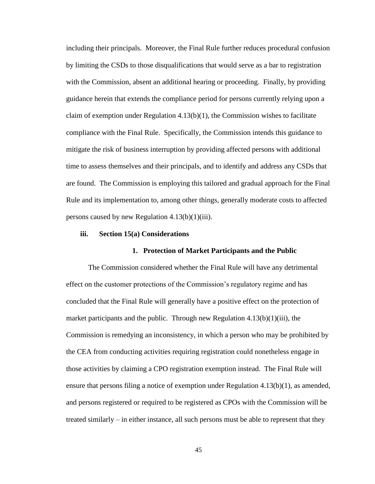including their principals. Moreover, the Final Rule further reduces procedural confusion by limiting the CSDs to those disqualifications that would serve as a bar to registration with the Commission, absent an additional hearing or proceeding. Finally, by providing guidance herein that extends the compliance period for persons currently relying upon a claim of exemption under Regulation  $4.13(b)(1)$ , the Commission wishes to facilitate compliance with the Final Rule. Specifically, the Commission intends this guidance to mitigate the risk of business interruption by providing affected persons with additional time to assess themselves and their principals, and to identify and address any CSDs that are found. The Commission is employing this tailored and gradual approach for the Final Rule and its implementation to, among other things, generally moderate costs to affected persons caused by new Regulation  $4.13(b)(1)(iii)$ .

### **iii. Section 15(a) Considerations**

#### **1. Protection of Market Participants and the Public**

The Commission considered whether the Final Rule will have any detrimental effect on the customer protections of the Commission's regulatory regime and has concluded that the Final Rule will generally have a positive effect on the protection of market participants and the public. Through new Regulation  $4.13(b)(1)(iii)$ , the Commission is remedying an inconsistency, in which a person who may be prohibited by the CEA from conducting activities requiring registration could nonetheless engage in those activities by claiming a CPO registration exemption instead. The Final Rule will ensure that persons filing a notice of exemption under Regulation  $4.13(b)(1)$ , as amended, and persons registered or required to be registered as CPOs with the Commission will be treated similarly – in either instance, all such persons must be able to represent that they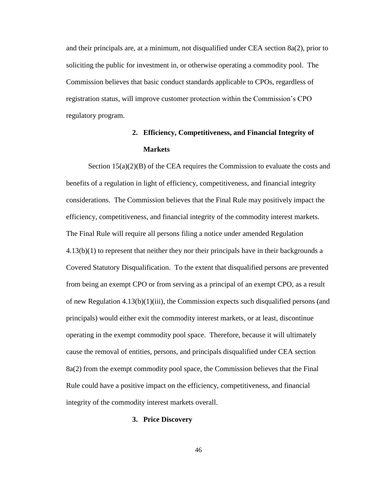and their principals are, at a minimum, not disqualified under CEA section 8a(2), prior to soliciting the public for investment in, or otherwise operating a commodity pool. The Commission believes that basic conduct standards applicable to CPOs, regardless of registration status, will improve customer protection within the Commission's CPO regulatory program.

# **2. Efficiency, Competitiveness, and Financial Integrity of Markets**

Section  $15(a)(2)(B)$  of the CEA requires the Commission to evaluate the costs and benefits of a regulation in light of efficiency, competitiveness, and financial integrity considerations. The Commission believes that the Final Rule may positively impact the efficiency, competitiveness, and financial integrity of the commodity interest markets. The Final Rule will require all persons filing a notice under amended Regulation 4.13(b)(1) to represent that neither they nor their principals have in their backgrounds a Covered Statutory Disqualification. To the extent that disqualified persons are prevented from being an exempt CPO or from serving as a principal of an exempt CPO, as a result of new Regulation  $4.13(b)(1)(iii)$ , the Commission expects such disqualified persons (and principals) would either exit the commodity interest markets, or at least, discontinue operating in the exempt commodity pool space. Therefore, because it will ultimately cause the removal of entities, persons, and principals disqualified under CEA section 8a(2) from the exempt commodity pool space, the Commission believes that the Final Rule could have a positive impact on the efficiency, competitiveness, and financial integrity of the commodity interest markets overall.

#### **3. Price Discovery**

46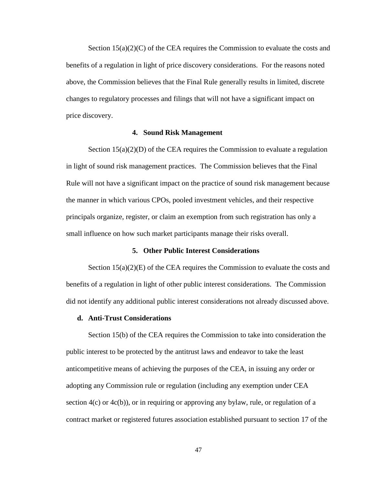Section  $15(a)(2)(C)$  of the CEA requires the Commission to evaluate the costs and benefits of a regulation in light of price discovery considerations. For the reasons noted above, the Commission believes that the Final Rule generally results in limited, discrete changes to regulatory processes and filings that will not have a significant impact on price discovery.

## **4. Sound Risk Management**

Section  $15(a)(2)(D)$  of the CEA requires the Commission to evaluate a regulation in light of sound risk management practices. The Commission believes that the Final Rule will not have a significant impact on the practice of sound risk management because the manner in which various CPOs, pooled investment vehicles, and their respective principals organize, register, or claim an exemption from such registration has only a small influence on how such market participants manage their risks overall.

## **5. Other Public Interest Considerations**

Section  $15(a)(2)(E)$  of the CEA requires the Commission to evaluate the costs and benefits of a regulation in light of other public interest considerations. The Commission did not identify any additional public interest considerations not already discussed above.

### **d. Anti-Trust Considerations**

Section 15(b) of the CEA requires the Commission to take into consideration the public interest to be protected by the antitrust laws and endeavor to take the least anticompetitive means of achieving the purposes of the CEA, in issuing any order or adopting any Commission rule or regulation (including any exemption under CEA section  $4(c)$  or  $4c(b)$ ), or in requiring or approving any bylaw, rule, or regulation of a contract market or registered futures association established pursuant to section 17 of the

47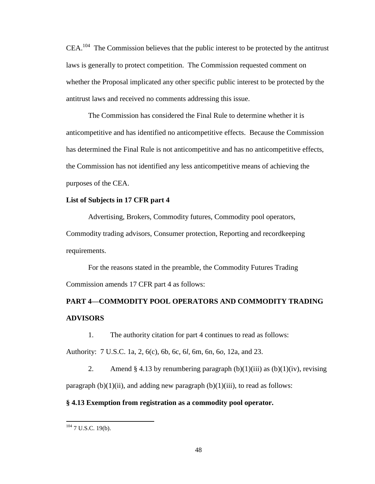$CEA$ <sup>104</sup>. The Commission believes that the public interest to be protected by the antitrust laws is generally to protect competition. The Commission requested comment on whether the Proposal implicated any other specific public interest to be protected by the antitrust laws and received no comments addressing this issue.

The Commission has considered the Final Rule to determine whether it is anticompetitive and has identified no anticompetitive effects. Because the Commission has determined the Final Rule is not anticompetitive and has no anticompetitive effects, the Commission has not identified any less anticompetitive means of achieving the purposes of the CEA.

# **List of Subjects in 17 CFR part 4**

Advertising, Brokers, Commodity futures, Commodity pool operators, Commodity trading advisors, Consumer protection, Reporting and recordkeeping requirements.

For the reasons stated in the preamble, the Commodity Futures Trading Commission amends 17 CFR part 4 as follows:

# **PART 4—COMMODITY POOL OPERATORS AND COMMODITY TRADING ADVISORS**

1. The authority citation for part 4 continues to read as follows:

Authority: 7 U.S.C. 1a, 2, 6(c), 6b, 6c, 6*l*, 6m, 6n, 6*o*, 12a, and 23.

2. Amend § 4.13 by renumbering paragraph  $(b)(1)(iii)$  as  $(b)(1)(iv)$ , revising paragraph  $(b)(1)(ii)$ , and adding new paragraph  $(b)(1)(iii)$ , to read as follows:

# **§ 4.13 Exemption from registration as a commodity pool operator.**

 $104$  7 U.S.C. 19(b).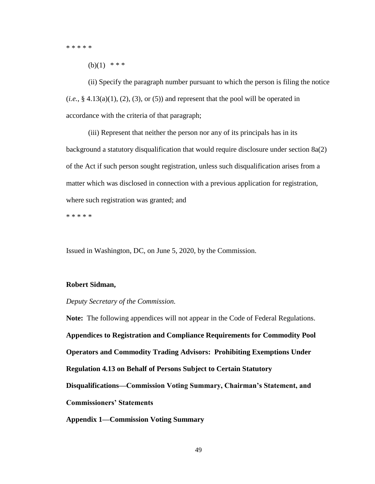\* \* \* \* \*

 $(b)(1)$  \* \* \*

(ii) Specify the paragraph number pursuant to which the person is filing the notice  $(i.e., § 4.13(a)(1), (2), (3), or (5))$  and represent that the pool will be operated in accordance with the criteria of that paragraph;

(iii) Represent that neither the person nor any of its principals has in its background a statutory disqualification that would require disclosure under section 8a(2) of the Act if such person sought registration, unless such disqualification arises from a matter which was disclosed in connection with a previous application for registration, where such registration was granted; and

\* \* \* \* \*

Issued in Washington, DC, on June 5, 2020, by the Commission.

## **Robert Sidman,**

## *Deputy Secretary of the Commission.*

**Note:** The following appendices will not appear in the Code of Federal Regulations. **Appendices to Registration and Compliance Requirements for Commodity Pool Operators and Commodity Trading Advisors: Prohibiting Exemptions Under Regulation 4.13 on Behalf of Persons Subject to Certain Statutory Disqualifications—Commission Voting Summary, Chairman's Statement, and Commissioners' Statements Appendix 1—Commission Voting Summary**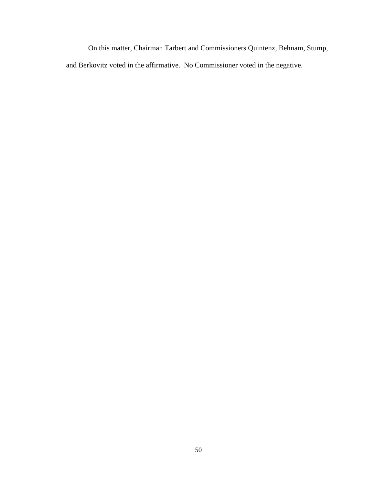On this matter, Chairman Tarbert and Commissioners Quintenz, Behnam, Stump, and Berkovitz voted in the affirmative. No Commissioner voted in the negative.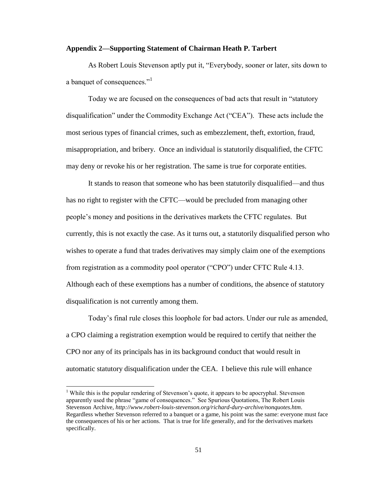## **Appendix 2—Supporting Statement of Chairman Heath P. Tarbert**

As Robert Louis Stevenson aptly put it, "Everybody, sooner or later, sits down to a banquet of consequences."<sup>1</sup>

Today we are focused on the consequences of bad acts that result in "statutory disqualification" under the Commodity Exchange Act ("CEA"). These acts include the most serious types of financial crimes, such as embezzlement, theft, extortion, fraud, misappropriation, and bribery. Once an individual is statutorily disqualified, the CFTC may deny or revoke his or her registration. The same is true for corporate entities.

It stands to reason that someone who has been statutorily disqualified—and thus has no right to register with the CFTC—would be precluded from managing other people's money and positions in the derivatives markets the CFTC regulates. But currently, this is not exactly the case. As it turns out, a statutorily disqualified person who wishes to operate a fund that trades derivatives may simply claim one of the exemptions from registration as a commodity pool operator ("CPO") under CFTC Rule 4.13. Although each of these exemptions has a number of conditions, the absence of statutory disqualification is not currently among them.

Today's final rule closes this loophole for bad actors. Under our rule as amended, a CPO claiming a registration exemption would be required to certify that neither the CPO nor any of its principals has in its background conduct that would result in automatic statutory disqualification under the CEA. I believe this rule will enhance

<sup>&</sup>lt;sup>1</sup> While this is the popular rendering of Stevenson's quote, it appears to be apocryphal. Stevenson apparently used the phrase "game of consequences." See Spurious Quotations, The Robert Louis Stevenson Archive, *http://www.robert-louis-stevenson.org/richard-dury-archive/nonquotes.htm*. Regardless whether Stevenson referred to a banquet or a game, his point was the same: everyone must face the consequences of his or her actions. That is true for life generally, and for the derivatives markets specifically.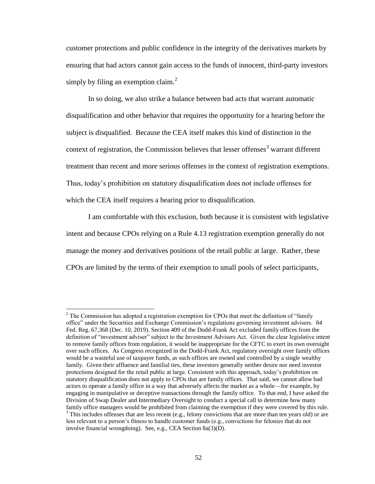customer protections and public confidence in the integrity of the derivatives markets by ensuring that bad actors cannot gain access to the funds of innocent, third-party investors simply by filing an exemption claim. $^{2}$ 

In so doing, we also strike a balance between bad acts that warrant automatic disqualification and other behavior that requires the opportunity for a hearing before the subject is disqualified. Because the CEA itself makes this kind of distinction in the context of registration, the Commission believes that lesser offenses $3$  warrant different treatment than recent and more serious offenses in the context of registration exemptions. Thus, today's prohibition on statutory disqualification does not include offenses for which the CEA itself requires a hearing prior to disqualification.

I am comfortable with this exclusion, both because it is consistent with legislative intent and because CPOs relying on a Rule 4.13 registration exemption generally do not manage the money and derivatives positions of the retail public at large. Rather, these CPOs are limited by the terms of their exemption to small pools of select participants,

 $\overline{a}$ 

<sup>&</sup>lt;sup>2</sup> The Commission has adopted a registration exemption for CPOs that meet the definition of "family" office" under the Securities and Exchange Commission's regulations governing investment advisers. 84 Fed. Reg. 67,368 (Dec. 10, 2019). Section 409 of the Dodd-Frank Act excluded family offices from the definition of "investment adviser" subject to the Investment Advisers Act. Given the clear legislative intent to remove family offices from regulation, it would be inappropriate for the CFTC to exert its own oversight over such offices. As Congress recognized in the Dodd-Frank Act, regulatory oversight over family offices would be a wasteful use of taxpayer funds, as such offices are owned and controlled by a single wealthy family. Given their affluence and familial ties, these investors generally neither desire nor need investor protections designed for the retail public at large. Consistent with this approach, today's prohibition on statutory disqualification does not apply to CPOs that are family offices. That said, we cannot allow bad actors to operate a family office in a way that adversely affects the market as a whole—for example, by engaging in manipulative or deceptive transactions through the family office. To that end, I have asked the Division of Swap Dealer and Intermediary Oversight to conduct a special call to determine how many family office managers would be prohibited from claiming the exemption if they were covered by this rule.  $3$  This includes offenses that are less recent (e.g., felony convictions that are more than ten years old) or are

less relevant to a person's fitness to handle customer funds (e.g., convictions for felonies that do not involve financial wrongdoing). See, e.g., CEA Section 8a(3)(D).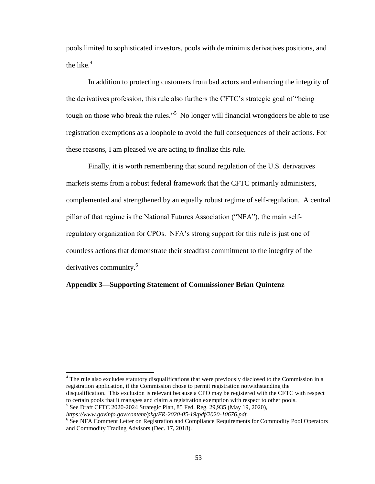pools limited to sophisticated investors, pools with de minimis derivatives positions, and the like. $4$ 

In addition to protecting customers from bad actors and enhancing the integrity of the derivatives profession, this rule also furthers the CFTC's strategic goal of "being tough on those who break the rules."<sup>5</sup> No longer will financial wrongdoers be able to use registration exemptions as a loophole to avoid the full consequences of their actions. For these reasons, I am pleased we are acting to finalize this rule.

Finally, it is worth remembering that sound regulation of the U.S. derivatives markets stems from a robust federal framework that the CFTC primarily administers, complemented and strengthened by an equally robust regime of self-regulation. A central pillar of that regime is the National Futures Association ("NFA"), the main selfregulatory organization for CPOs. NFA's strong support for this rule is just one of countless actions that demonstrate their steadfast commitment to the integrity of the derivatives community.<sup>6</sup>

# **Appendix 3—Supporting Statement of Commissioner Brian Quintenz**

l

<sup>&</sup>lt;sup>4</sup> The rule also excludes statutory disqualifications that were previously disclosed to the Commission in a registration application, if the Commission chose to permit registration notwithstanding the disqualification. This exclusion is relevant because a CPO may be registered with the CFTC with respect to certain pools that it manages and claim a registration exemption with respect to other pools.

<sup>5</sup> See Draft CFTC 2020-2024 Strategic Plan, 85 Fed. Reg. 29,935 (May 19, 2020),

*https://www.govinfo.gov/content/pkg/FR-2020-05-19/pdf/2020-10676.pdf*.

<sup>&</sup>lt;sup>6</sup> See NFA Comment Letter on Registration and Compliance Requirements for Commodity Pool Operators and Commodity Trading Advisors (Dec. 17, 2018).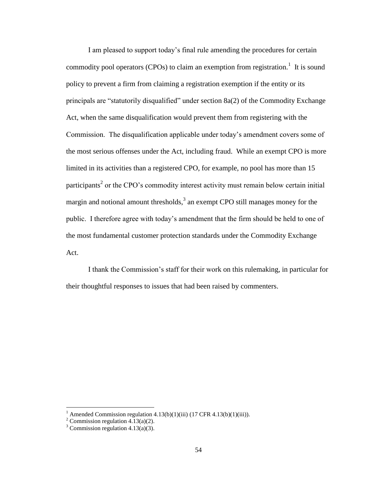I am pleased to support today's final rule amending the procedures for certain commodity pool operators (CPOs) to claim an exemption from registration.<sup>1</sup> It is sound policy to prevent a firm from claiming a registration exemption if the entity or its principals are "statutorily disqualified" under section 8a(2) of the Commodity Exchange Act, when the same disqualification would prevent them from registering with the Commission. The disqualification applicable under today's amendment covers some of the most serious offenses under the Act, including fraud. While an exempt CPO is more limited in its activities than a registered CPO, for example, no pool has more than 15 participants<sup>2</sup> or the CPO's commodity interest activity must remain below certain initial margin and notional amount thresholds, $3$  an exempt CPO still manages money for the public. I therefore agree with today's amendment that the firm should be held to one of the most fundamental customer protection standards under the Commodity Exchange Act.

I thank the Commission's staff for their work on this rulemaking, in particular for their thoughtful responses to issues that had been raised by commenters.

<sup>&</sup>lt;sup>1</sup> Amended Commission regulation  $4.13(b)(1)(iii)$  (17 CFR  $4.13(b)(1)(iii)$ ).

<sup>&</sup>lt;sup>2</sup> Commission regulation  $4.\overline{1}3(a)(2)$ .

 $3$  Commission regulation 4.13(a)(3).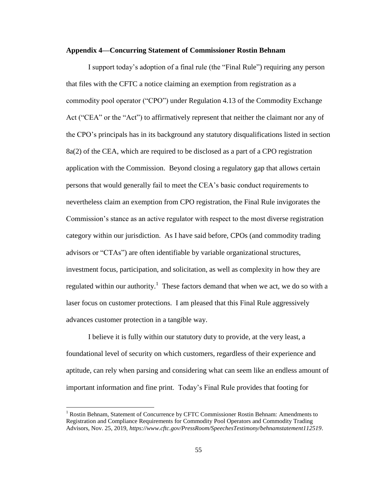### **Appendix 4—Concurring Statement of Commissioner Rostin Behnam**

I support today's adoption of a final rule (the "Final Rule") requiring any person that files with the CFTC a notice claiming an exemption from registration as a commodity pool operator ("CPO") under Regulation 4.13 of the Commodity Exchange Act ("CEA" or the "Act") to affirmatively represent that neither the claimant nor any of the CPO's principals has in its background any statutory disqualifications listed in section 8a(2) of the CEA, which are required to be disclosed as a part of a CPO registration application with the Commission. Beyond closing a regulatory gap that allows certain persons that would generally fail to meet the CEA's basic conduct requirements to nevertheless claim an exemption from CPO registration, the Final Rule invigorates the Commission's stance as an active regulator with respect to the most diverse registration category within our jurisdiction. As I have said before, CPOs (and commodity trading advisors or "CTAs") are often identifiable by variable organizational structures, investment focus, participation, and solicitation, as well as complexity in how they are regulated within our authority.<sup>1</sup> These factors demand that when we act, we do so with a laser focus on customer protections. I am pleased that this Final Rule aggressively advances customer protection in a tangible way.

I believe it is fully within our statutory duty to provide, at the very least, a foundational level of security on which customers, regardless of their experience and aptitude, can rely when parsing and considering what can seem like an endless amount of important information and fine print. Today's Final Rule provides that footing for

 $<sup>1</sup>$  Rostin Behnam, Statement of Concurrence by CFTC Commissioner Rostin Behnam: Amendments to</sup> Registration and Compliance Requirements for Commodity Pool Operators and Commodity Trading Advisors, Nov. 25, 2019, *https://www.cftc.gov/PressRoom/SpeechesTestimony/behnamstatement112519*.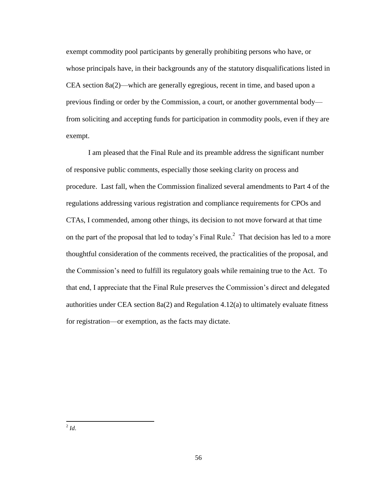exempt commodity pool participants by generally prohibiting persons who have, or whose principals have, in their backgrounds any of the statutory disqualifications listed in CEA section 8a(2)—which are generally egregious, recent in time, and based upon a previous finding or order by the Commission, a court, or another governmental body from soliciting and accepting funds for participation in commodity pools, even if they are exempt.

I am pleased that the Final Rule and its preamble address the significant number of responsive public comments, especially those seeking clarity on process and procedure. Last fall, when the Commission finalized several amendments to Part 4 of the regulations addressing various registration and compliance requirements for CPOs and CTAs, I commended, among other things, its decision to not move forward at that time on the part of the proposal that led to today's Final Rule.<sup>2</sup> That decision has led to a more thoughtful consideration of the comments received, the practicalities of the proposal, and the Commission's need to fulfill its regulatory goals while remaining true to the Act. To that end, I appreciate that the Final Rule preserves the Commission's direct and delegated authorities under CEA section  $8a(2)$  and Regulation  $4.12(a)$  to ultimately evaluate fitness for registration—or exemption, as the facts may dictate.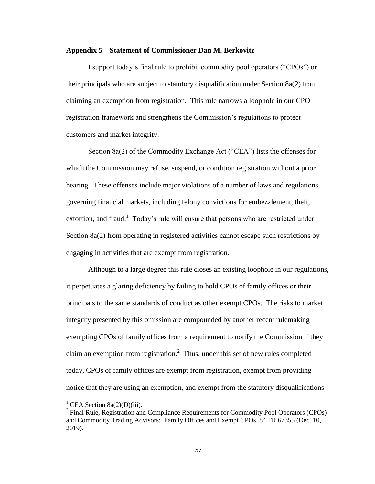# **Appendix 5—Statement of Commissioner Dan M. Berkovitz**

I support today's final rule to prohibit commodity pool operators ("CPOs") or their principals who are subject to statutory disqualification under Section 8a(2) from claiming an exemption from registration. This rule narrows a loophole in our CPO registration framework and strengthens the Commission's regulations to protect customers and market integrity.

Section 8a(2) of the Commodity Exchange Act ("CEA") lists the offenses for which the Commission may refuse, suspend, or condition registration without a prior hearing. These offenses include major violations of a number of laws and regulations governing financial markets, including felony convictions for embezzlement, theft, extortion, and fraud.<sup>1</sup> Today's rule will ensure that persons who are restricted under Section 8a(2) from operating in registered activities cannot escape such restrictions by engaging in activities that are exempt from registration.

Although to a large degree this rule closes an existing loophole in our regulations, it perpetuates a glaring deficiency by failing to hold CPOs of family offices or their principals to the same standards of conduct as other exempt CPOs. The risks to market integrity presented by this omission are compounded by another recent rulemaking exempting CPOs of family offices from a requirement to notify the Commission if they claim an exemption from registration.<sup>2</sup> Thus, under this set of new rules completed today, CPOs of family offices are exempt from registration, exempt from providing notice that they are using an exemption, and exempt from the statutory disqualifications

<sup>&</sup>lt;sup>1</sup> CEA Section 8a(2)(D)(iii).

 $2^2$  Final Rule, Registration and Compliance Requirements for Commodity Pool Operators (CPOs) and Commodity Trading Advisors: Family Offices and Exempt CPOs, 84 FR 67355 (Dec. 10, 2019).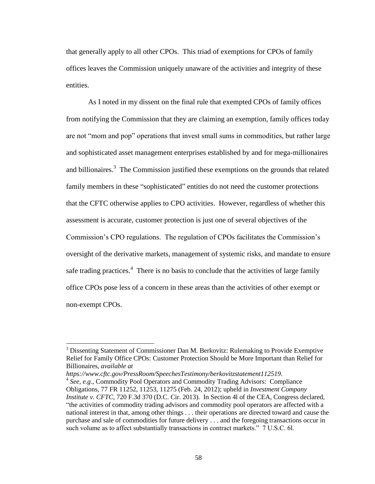that generally apply to all other CPOs. This triad of exemptions for CPOs of family offices leaves the Commission uniquely unaware of the activities and integrity of these entities.

As I noted in my dissent on the final rule that exempted CPOs of family offices from notifying the Commission that they are claiming an exemption, family offices today are not "mom and pop" operations that invest small sums in commodities, but rather large and sophisticated asset management enterprises established by and for mega-millionaires and billionaires.<sup>3</sup> The Commission justified these exemptions on the grounds that related family members in these "sophisticated" entities do not need the customer protections that the CFTC otherwise applies to CPO activities. However, regardless of whether this assessment is accurate, customer protection is just one of several objectives of the Commission's CPO regulations. The regulation of CPOs facilitates the Commission's oversight of the derivative markets, management of systemic risks, and mandate to ensure safe trading practices.<sup>4</sup> There is no basis to conclude that the activities of large family office CPOs pose less of a concern in these areas than the activities of other exempt or non-exempt CPOs.

*https://www.cftc.gov/PressRoom/SpeechesTestimony/berkovitzstatement112519*.

<sup>&</sup>lt;sup>3</sup> Dissenting Statement of Commissioner Dan M. Berkovitz: Rulemaking to Provide Exemptive Relief for Family Office CPOs: Customer Protection Should be More Important than Relief for Billionaires, *available at* 

<sup>&</sup>lt;sup>4</sup> See, e.g., Commodity Pool Operators and Commodity Trading Advisors: Compliance Obligations, 77 FR 11252, 11253, 11275 (Feb. 24, 2012); upheld in *Investment Company Institute v. CFTC*, 720 F.3d 370 (D.C. Cir. 2013). In Section 4l of the CEA, Congress declared, "the activities of commodity trading advisors and commodity pool operators are affected with a national interest in that, among other things . . . their operations are directed toward and cause the purchase and sale of commodities for future delivery . . . and the foregoing transactions occur in such volume as to affect substantially transactions in contract markets." 7 U.S.C. 6l.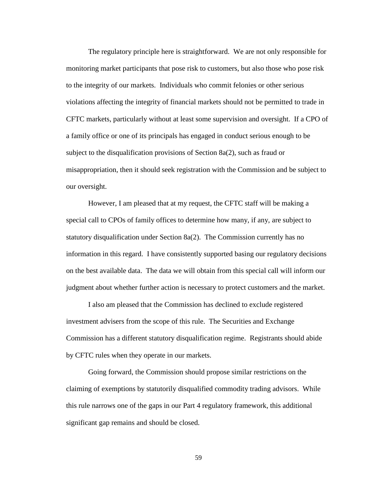The regulatory principle here is straightforward. We are not only responsible for monitoring market participants that pose risk to customers, but also those who pose risk to the integrity of our markets. Individuals who commit felonies or other serious violations affecting the integrity of financial markets should not be permitted to trade in CFTC markets, particularly without at least some supervision and oversight. If a CPO of a family office or one of its principals has engaged in conduct serious enough to be subject to the disqualification provisions of Section 8a(2), such as fraud or misappropriation, then it should seek registration with the Commission and be subject to our oversight.

However, I am pleased that at my request, the CFTC staff will be making a special call to CPOs of family offices to determine how many, if any, are subject to statutory disqualification under Section 8a(2). The Commission currently has no information in this regard. I have consistently supported basing our regulatory decisions on the best available data. The data we will obtain from this special call will inform our judgment about whether further action is necessary to protect customers and the market.

I also am pleased that the Commission has declined to exclude registered investment advisers from the scope of this rule. The Securities and Exchange Commission has a different statutory disqualification regime. Registrants should abide by CFTC rules when they operate in our markets.

Going forward, the Commission should propose similar restrictions on the claiming of exemptions by statutorily disqualified commodity trading advisors. While this rule narrows one of the gaps in our Part 4 regulatory framework, this additional significant gap remains and should be closed.

59